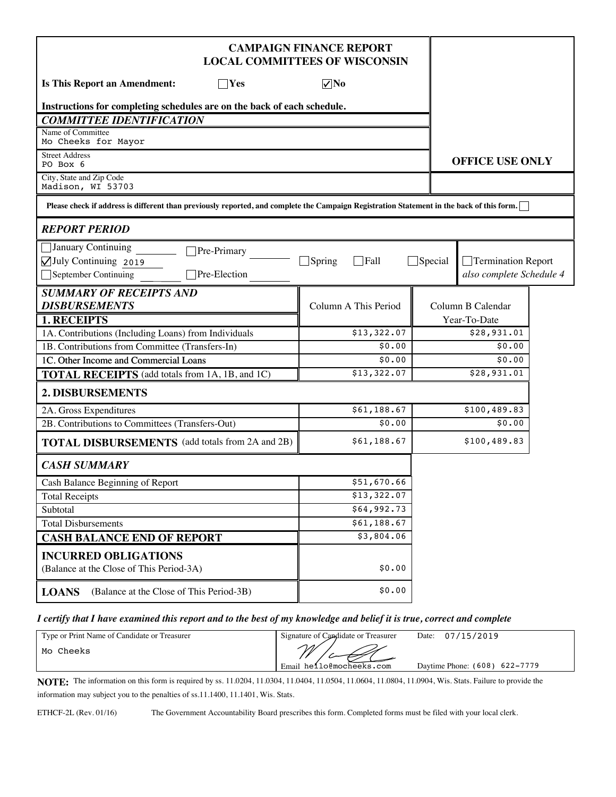| <b>CAMPAIGN FINANCE REPORT</b><br><b>LOCAL COMMITTEES OF WISCONSIN</b>                                                                    |                              |                |                          |  |
|-------------------------------------------------------------------------------------------------------------------------------------------|------------------------------|----------------|--------------------------|--|
| <b>Is This Report an Amendment:</b><br>$\neg$ Yes                                                                                         | $\nabla$ No                  |                |                          |  |
| Instructions for completing schedules are on the back of each schedule.                                                                   |                              |                |                          |  |
| <b>COMMITTEE IDENTIFICATION</b>                                                                                                           |                              |                |                          |  |
| Name of Committee<br>Mo Cheeks for Mayor                                                                                                  |                              |                |                          |  |
| <b>Street Address</b><br>PO Box 6                                                                                                         |                              |                | <b>OFFICE USE ONLY</b>   |  |
| City, State and Zip Code<br>Madison, WI 53703                                                                                             |                              |                |                          |  |
| Please check if address is different than previously reported, and complete the Campaign Registration Statement in the back of this form. |                              |                |                          |  |
| <b>REPORT PERIOD</b>                                                                                                                      |                              |                |                          |  |
| January Continuing<br>Pre-Primary                                                                                                         |                              |                |                          |  |
| △July Continuing 2019                                                                                                                     | $\Box$ Spring<br>$\Box$ Fall | $\Box$ Special | □ Termination Report     |  |
| Pre-Election<br>September Continuing                                                                                                      |                              |                | also complete Schedule 4 |  |
| <b>SUMMARY OF RECEIPTS AND</b>                                                                                                            |                              |                |                          |  |
| <b>DISBURSEMENTS</b>                                                                                                                      | Column A This Period         |                | Column B Calendar        |  |
| <b>1. RECEIPTS</b>                                                                                                                        |                              |                | Year-To-Date             |  |
| 1A. Contributions (Including Loans) from Individuals<br>1B. Contributions from Committee (Transfers-In)                                   | \$13,322.07<br>\$0.00        |                | \$28,931.01<br>\$0.00    |  |
| 1C. Other Income and Commercial Loans                                                                                                     | \$0.00                       |                | \$0.00                   |  |
| <b>TOTAL RECEIPTS</b> (add totals from 1A, 1B, and 1C)                                                                                    | \$13,322.07                  |                | \$28,931.01              |  |
|                                                                                                                                           |                              |                |                          |  |
| 2. DISBURSEMENTS                                                                                                                          |                              |                |                          |  |
| 2A. Gross Expenditures                                                                                                                    | \$61,188.67                  |                | \$100,489.83             |  |
| 2B. Contributions to Committees (Transfers-Out)                                                                                           | \$0.00                       |                | \$0.00                   |  |
| <b>TOTAL DISBURSEMENTS</b> (add totals from 2A and 2B)                                                                                    | \$61,188.67                  |                | \$100,489.83             |  |
| <b>CASH SUMMARY</b>                                                                                                                       |                              |                |                          |  |
| Cash Balance Beginning of Report                                                                                                          | \$51,670.66                  |                |                          |  |
| <b>Total Receipts</b>                                                                                                                     | \$13,322.07                  |                |                          |  |
| Subtotal                                                                                                                                  | \$64,992.73                  |                |                          |  |
| <b>Total Disbursements</b>                                                                                                                | \$61,188.67                  |                |                          |  |
| <b>CASH BALANCE END OF REPORT</b>                                                                                                         | \$3,804.06                   |                |                          |  |
| <b>INCURRED OBLIGATIONS</b><br>(Balance at the Close of This Period-3A)                                                                   | \$0.00                       |                |                          |  |
| (Balance at the Close of This Period-3B)<br><b>LOANS</b>                                                                                  | \$0.00                       |                |                          |  |

#### *I certify that I have examined this report and to the best of my knowledge and belief it is true, correct and complete*

| Type or Print Name of Candidate or Treasurer | Signature of Candidate or Treasurer | Date: $07/15/2019$            |
|----------------------------------------------|-------------------------------------|-------------------------------|
| Mo Cheeks                                    | M<br>Email hello@mocheeks.com       | Daytime Phone: (608) 622-7779 |

**NOTE:** The information on this form is required by ss. 11.0204, 11.0304, 11.0404, 11.0504, 11.0604, 11.0804, 11.0904, Wis. Stats. Failure to provide the information may subject you to the penalties of ss.11.1400, 11.1401, Wis. Stats.

ETHCF-2L (Rev. 01/16) The Government Accountability Board prescribes this form. Completed forms must be filed with your local clerk.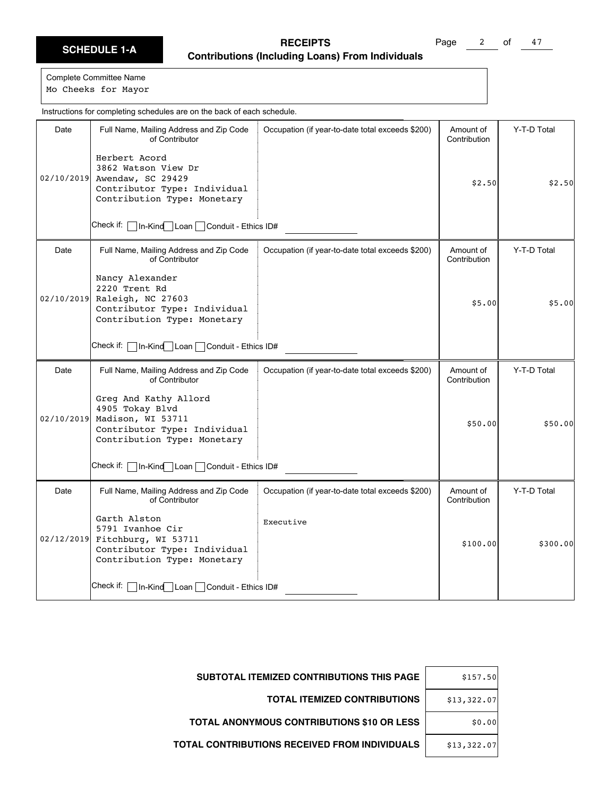Page 2 of 47

Complete Committee Name Mo Cheeks for Mayor

Date | Full Name, Mailing Address and Zip Code of Contributor Check if: In-Kind Loan Conduit - Ethics ID# Occupation (if year-to-date total exceeds \$200) | Amount of Contribution Y-T-D Total 02/10/2019 Awendaw, SC 29429 Herbert Acord 3862 Watson View Dr Contributor Type: Individual Contribution Type: Monetary  $$2.50$   $$2.50$ Date Full Name, Mailing Address and Zip Code of Contributor Check if: | In-Kind Loan | Conduit - Ethics ID# Occupation (if year-to-date total exceeds \$200) | Amount of Contribution Y-T-D Total 02/10/2019 Nancy Alexander 2220 Trent Rd Raleigh, NC 27603 Contributor Type: Individual Contribution Type: Monetary \$5.00 \$5.00 Date | Full Name, Mailing Address and Zip Code of Contributor Check if:  $\Box$  In-Kind Loan  $\Box$  Conduit - Ethics ID# Occupation (if year-to-date total exceeds \$200) | Amount of Contribution Y-T-D Total 02/10/2019 Greg And Kathy Allord 4905 Tokay Blvd Madison, WI 53711 Contributor Type: Individual Contribution Type: Monetary \$50.00 \$50.00 Date | Full Name, Mailing Address and Zip Code of Contributor Check if: | In-Kind Loan | Conduit - Ethics ID# Occupation (if year-to-date total exceeds \$200) | Amount of Contribution Y-T-D Total 02/12/2019 Fitchburg, WI 53711 Garth Alston 5791 Ivanhoe Cir Contributor Type: Individual Contribution Type: Monetary Executive \$100.00 \$300.00 Instructions for completing schedules are on the back of each schedule.

| \$157.50    | <b>SUBTOTAL ITEMIZED CONTRIBUTIONS THIS PAGE</b>  |
|-------------|---------------------------------------------------|
| \$13,322.07 | <b>TOTAL ITEMIZED CONTRIBUTIONS</b>               |
| \$0.00      | <b>TOTAL ANONYMOUS CONTRIBUTIONS \$10 OR LESS</b> |
| \$13,322.07 | TOTAL CONTRIBUTIONS RECEIVED FROM INDIVIDUALS     |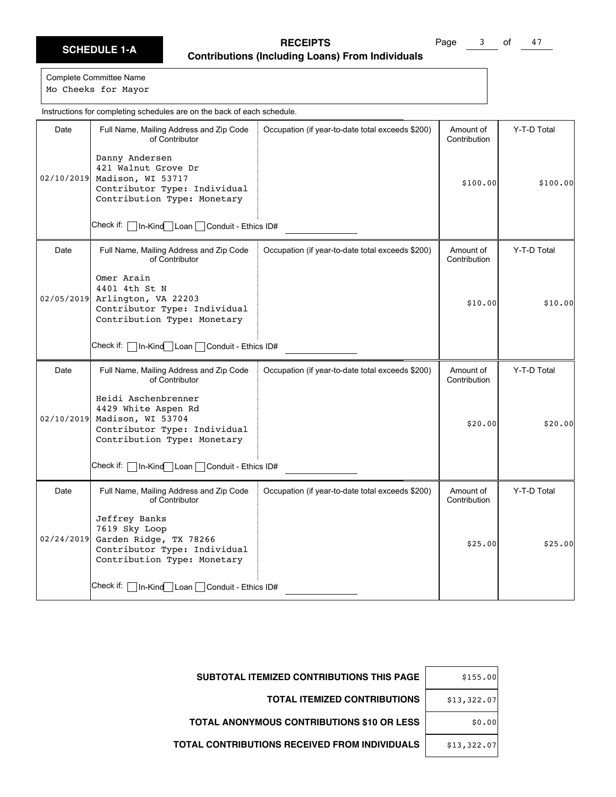Page 3 of 47

Complete Committee Name Mo Cheeks for Mayor

Date | Full Name, Mailing Address and Zip Code of Contributor Check if: In-Kind Loan Conduit - Ethics ID# Occupation (if year-to-date total exceeds \$200) | Amount of Contribution Y-T-D Total 02/10/2019 Madison, WI 53717 Danny Andersen 421 Walnut Grove Dr Contributor Type: Individual Contribution Type: Monetary \$100.00 \$100.00 Date Full Name, Mailing Address and Zip Code of Contributor Check if: | In-Kind Loan | Conduit - Ethics ID# Occupation (if year-to-date total exceeds \$200) | Amount of Contribution Y-T-D Total 02/05/2019 Omer Arain 4401 4th St N Arlington, VA 22203 Contributor Type: Individual Contribution Type: Monetary  $$10.00$   $$10.00$ Date | Full Name, Mailing Address and Zip Code of Contributor Check if: | In-Kind Loan | Conduit - Ethics ID# Occupation (if year-to-date total exceeds \$200) | Amount of Contribution Y-T-D Total 02/10/2019 Heidi Aschenbrenner 4429 White Aspen Rd Madison, WI 53704 Contributor Type: Individual Contribution Type: Monetary  $$20.00$   $$20.00$ Date | Full Name, Mailing Address and Zip Code of Contributor Check if: | In-Kind Loan | Conduit - Ethics ID# Occupation (if year-to-date total exceeds \$200) | Amount of Contribution Y-T-D Total 02/24/2019 Jeffrey Banks 7619 Sky Loop Garden Ridge, TX 78266 Contributor Type: Individual Contribution Type: Monetary  $$25.00$   $$25.00$ Instructions for completing schedules are on the back of each schedule.

| \$155.00    | <b>SUBTOTAL ITEMIZED CONTRIBUTIONS THIS PAGE</b>     |
|-------------|------------------------------------------------------|
| \$13,322.07 | <b>TOTAL ITEMIZED CONTRIBUTIONS</b>                  |
| \$0.00      | <b>TOTAL ANONYMOUS CONTRIBUTIONS \$10 OR LESS</b>    |
| \$13,322.07 | <b>TOTAL CONTRIBUTIONS RECEIVED FROM INDIVIDUALS</b> |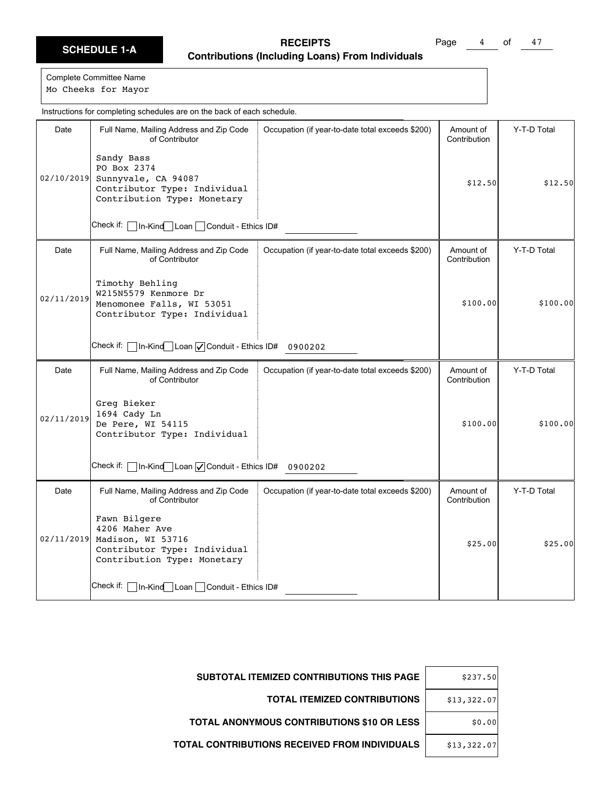Page 4 of 47

Complete Committee Name Mo Cheeks for Mayor

Date | Full Name, Mailing Address and Zip Code of Contributor Check if: In-Kind Loan Conduit - Ethics ID# Occupation (if year-to-date total exceeds \$200) | Amount of Contribution Y-T-D Total 02/10/2019 Sunnyvale, CA 94087 Sandy Bass PO Box 2374 Contributor Type: Individual Contribution Type: Monetary  $$12.50$   $$12.50$ Date | Full Name, Mailing Address and Zip Code of Contributor Check if:  $\Box$  In-Kind $\Box$  Loan  $\Box$  Conduit - Ethics ID# 0900202 Occupation (if year-to-date total exceeds \$200) | Amount of Contribution Y-T-D Total 02/11/2019 Timothy Behling W215N5579 Kenmore Dr Menomonee Falls, WI 53051 Contributor Type: Individual  $$100.00$   $$100.00$ Date | Full Name, Mailing Address and Zip Code of Contributor Check if:  $\Box$  In-Kind $\Box$  Loan  $\Box$  Conduit - Ethics ID# 0900202 Occupation (if year-to-date total exceeds \$200) | Amount of Contribution Y-T-D Total 02/11/2019 Greg Bieker 1694 Cady Ln De Pere, WI 54115 Contributor Type: Individual \$100.00 \$100.00 Date | Full Name, Mailing Address and Zip Code of Contributor Check if: | In-Kind Loan | Conduit - Ethics ID# Occupation (if year-to-date total exceeds \$200) | Amount of Contribution Y-T-D Total 02/11/2019 Fawn Bilgere 4206 Maher Ave Madison, WI 53716 Contributor Type: Individual Contribution Type: Monetary  $$25.00$   $$25.00$ Instructions for completing schedules are on the back of each schedule.

| \$237.50    | <b>SUBTOTAL ITEMIZED CONTRIBUTIONS THIS PAGE</b>  |
|-------------|---------------------------------------------------|
| \$13,322.07 | <b>TOTAL ITEMIZED CONTRIBUTIONS</b>               |
| \$0.00      | <b>TOTAL ANONYMOUS CONTRIBUTIONS \$10 OR LESS</b> |
| \$13,322.07 | TOTAL CONTRIBUTIONS RECEIVED FROM INDIVIDUALS     |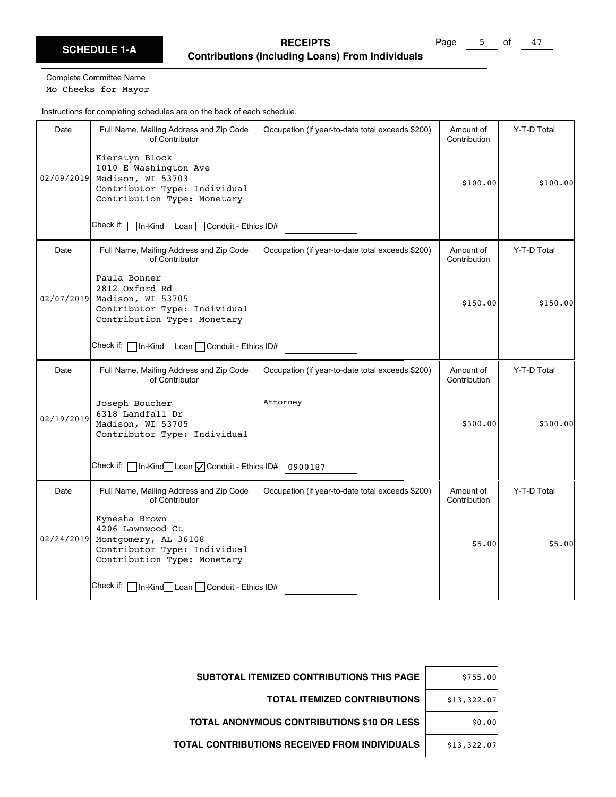Page 5 of 47

Complete Committee Name Mo Cheeks for Mayor

Date | Full Name, Mailing Address and Zip Code of Contributor Check if: In-Kind Loan Conduit - Ethics ID# Occupation (if year-to-date total exceeds \$200) | Amount of Contribution Y-T-D Total 02/09/2019 Madison, WI 53703 Kierstyn Block 1010 E Washington Ave Contributor Type: Individual Contribution Type: Monetary \$100.00 \$100.00 Date | Full Name, Mailing Address and Zip Code of Contributor Check if: | In-Kind Loan | Conduit - Ethics ID# Occupation (if year-to-date total exceeds \$200) | Amount of Contribution Y-T-D Total 02/07/2019 Paula Bonner 2812 Oxford Rd Madison, WI 53705 Contributor Type: Individual Contribution Type: Monetary  $$150.00$   $$150.00$ Date | Full Name, Mailing Address and Zip Code of Contributor Check if:  $\Box$  In-Kind $\Box$  Loan  $\Box$  Conduit - Ethics ID# 0900187 Occupation (if year-to-date total exceeds \$200) | Amount of Contribution Y-T-D Total 02/19/2019 Joseph Boucher 6318 Landfall Dr Madison, WI 53705 Contributor Type: Individual Attorney \$500.00 \$500.00 Date | Full Name, Mailing Address and Zip Code of Contributor Check if: | In-Kind Loan | Conduit - Ethics ID# Occupation (if year-to-date total exceeds \$200) | Amount of Contribution Y-T-D Total 02/24/2019 Montgomery, AL 36108 Kynesha Brown 4206 Lawnwood Ct Contributor Type: Individual Contribution Type: Monetary \$5.00 \$5.00

| <b>SUBTOTAL ITEMIZED CONTRIBUTIONS THIS PAGE</b>  | \$755.00    |
|---------------------------------------------------|-------------|
| <b>TOTAL ITEMIZED CONTRIBUTIONS</b>               | \$13,322.07 |
| <b>TOTAL ANONYMOUS CONTRIBUTIONS \$10 OR LESS</b> | \$0.00      |
| TOTAL CONTRIBUTIONS RECEIVED FROM INDIVIDUALS     | \$13,322.07 |

Instructions for completing schedules are on the back of each schedule.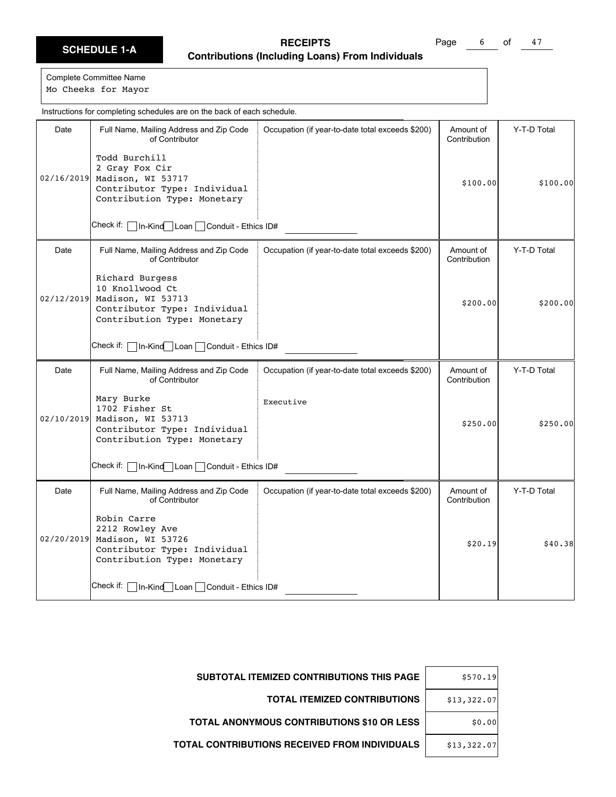Page 6 of 47

Complete Committee Name Mo Cheeks for Mayor

Date | Full Name, Mailing Address and Zip Code of Contributor Check if: In-Kind Loan Conduit - Ethics ID# Occupation (if year-to-date total exceeds \$200) | Amount of Contribution Y-T-D Total 02/16/2019 Madison, WI 53717 Todd Burchill 2 Gray Fox Cir Contributor Type: Individual Contribution Type: Monetary \$100.00 \$100.00 Date Full Name, Mailing Address and Zip Code of Contributor Check if: | In-Kind Loan | Conduit - Ethics ID# Occupation (if year-to-date total exceeds \$200) | Amount of Contribution Y-T-D Total 02/12/2019 Richard Burgess 10 Knollwood Ct Madison, WI 53713 Contributor Type: Individual Contribution Type: Monetary  $$200.00$   $$200.00$ Date | Full Name, Mailing Address and Zip Code of Contributor Check if: | In-Kind Loan | Conduit - Ethics ID# Occupation (if year-to-date total exceeds \$200) | Amount of Contribution Y-T-D Total 02/10/2019 Mary Burke 1702 Fisher St Madison, WI 53713 Contributor Type: Individual Contribution Type: Monetary Executive \$250.00 \$250.00 Date | Full Name, Mailing Address and Zip Code of Contributor Check if: | In-Kind Loan | Conduit - Ethics ID# Occupation (if year-to-date total exceeds \$200) | Amount of Contribution Y-T-D Total 02/20/2019 Madison, WI 53726 Robin Carre 2212 Rowley Ave Contributor Type: Individual Contribution Type: Monetary  $$20.19$   $$40.38$ Instructions for completing schedules are on the back of each schedule.

| <b>SUBTOTAL ITEMIZED CONTRIBUTIONS THIS PAGE</b>  | \$570.19    |
|---------------------------------------------------|-------------|
| <b>TOTAL ITEMIZED CONTRIBUTIONS</b>               | \$13,322.07 |
| <b>TOTAL ANONYMOUS CONTRIBUTIONS \$10 OR LESS</b> | \$0.00      |
| TOTAL CONTRIBUTIONS RECEIVED FROM INDIVIDUALS     | \$13,322.07 |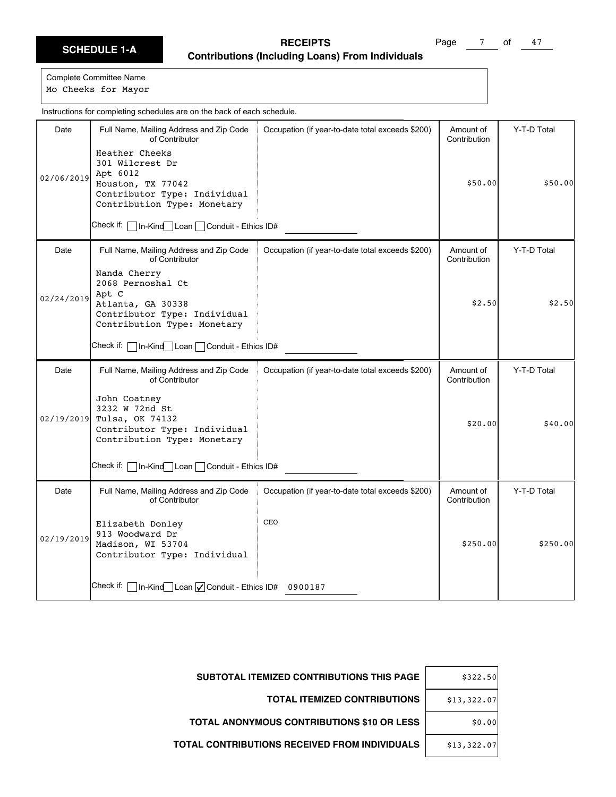Page 7 of 47

Complete Committee Name Mo Cheeks for Mayor

Date | Full Name, Mailing Address and Zip Code of Contributor Check if: In-Kind Loan Conduit - Ethics ID# Occupation (if year-to-date total exceeds \$200) | Amount of Contribution Y-T-D Total 02/06/2019 Heather Cheeks 301 Wilcrest Dr Apt 6012 Houston, TX 77042 Contributor Type: Individual Contribution Type: Monetary \$50.00 \$50.00 Date | Full Name, Mailing Address and Zip Code of Contributor Check if: | In-Kind Loan | Conduit - Ethics ID# Occupation (if year-to-date total exceeds \$200) | Amount of Contribution Y-T-D Total 02/24/2019 Nanda Cherry 2068 Pernoshal Ct Apt C Atlanta, GA 30338 Contributor Type: Individual Contribution Type: Monetary  $$2.50$   $$2.50$ Date | Full Name, Mailing Address and Zip Code of Contributor Check if: | In-Kind | Loan | Conduit - Ethics ID# Occupation (if year-to-date total exceeds \$200) | Amount of Contribution Y-T-D Total 02/19/2019 John Coatney 3232 W 72nd St Tulsa, OK 74132 Contributor Type: Individual Contribution Type: Monetary \$20.00 \$40.00 Date | Full Name, Mailing Address and Zip Code of Contributor Check if:  $\Box$  In-Kind $\Box$  Loan  $\Box$  Conduit - Ethics ID# 0900187 Occupation (if year-to-date total exceeds \$200) | Amount of Contribution Y-T-D Total 02/19/2019 Elizabeth Donley 913 Woodward Dr Madison, WI 53704 Contributor Type: Individual **CEO**  $$250.00$   $$250.00$ Instructions for completing schedules are on the back of each schedule.

| \$322.50    | SUBTOTAL ITEMIZED CONTRIBUTIONS THIS PAGE         |
|-------------|---------------------------------------------------|
| \$13,322.07 | <b>TOTAL ITEMIZED CONTRIBUTIONS</b>               |
| \$0.00      | <b>TOTAL ANONYMOUS CONTRIBUTIONS \$10 OR LESS</b> |
| \$13,322.07 | TOTAL CONTRIBUTIONS RECEIVED FROM INDIVIDUALS     |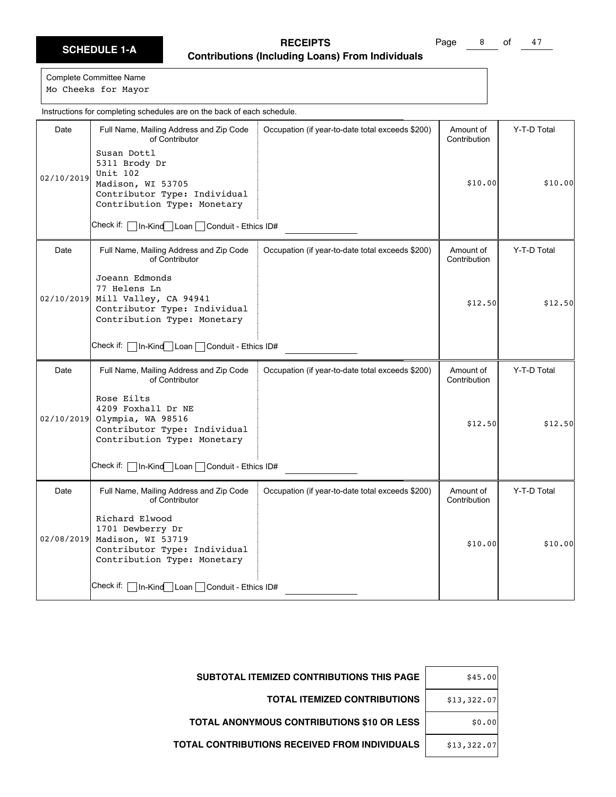Page 8 of 47

Complete Committee Name Mo Cheeks for Mayor

Date | Full Name, Mailing Address and Zip Code of Contributor Check if: In-Kind Loan Conduit - Ethics ID# Occupation (if year-to-date total exceeds \$200) | Amount of Contribution Y-T-D Total 02/10/2019 Susan Dottl 5311 Brody Dr Unit 102 Madison, WI 53705 Contributor Type: Individual Contribution Type: Monetary \$10.00 \$10.00 Date | Full Name, Mailing Address and Zip Code of Contributor Check if: | In-Kind Loan | Conduit - Ethics ID# Occupation (if year-to-date total exceeds \$200) | Amount of Contribution Y-T-D Total 02/10/2019 Joeann Edmonds 77 Helens Ln Mill Valley, CA 94941 Contributor Type: Individual Contribution Type: Monetary  $$12.50$   $$12.50$ Date | Full Name, Mailing Address and Zip Code of Contributor Check if: | In-Kind Loan | Conduit - Ethics ID# Occupation (if year-to-date total exceeds \$200) | Amount of Contribution Y-T-D Total 02/10/2019 Rose Eilts 4209 Foxhall Dr NE Olympia, WA 98516 Contributor Type: Individual Contribution Type: Monetary \$12.50 \$12.50 Date | Full Name, Mailing Address and Zip Code of Contributor Check if: | In-Kind Loan | Conduit - Ethics ID# Occupation (if year-to-date total exceeds \$200) | Amount of Contribution Y-T-D Total 02/08/2019 Madison, WI 53719 Richard Elwood 1701 Dewberry Dr Contributor Type: Individual Contribution Type: Monetary \$10.00 \$10.00 Instructions for completing schedules are on the back of each schedule.

| <b>SUBTOTAL ITEMIZED CONTRIBUTIONS THIS PAGE</b><br>\$45.00  |  |
|--------------------------------------------------------------|--|
| <b>TOTAL ITEMIZED CONTRIBUTIONS</b><br>\$13,322.07           |  |
| <b>TOTAL ANONYMOUS CONTRIBUTIONS \$10 OR LESS</b><br>\$0.00  |  |
| TOTAL CONTRIBUTIONS RECEIVED FROM INDIVIDUALS<br>\$13,322.07 |  |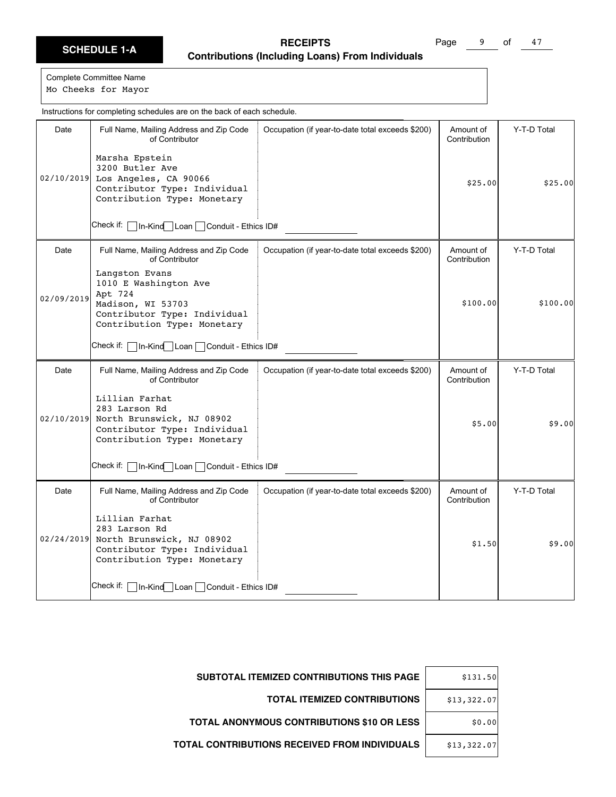Page 9 of 47

Complete Committee Name Mo Cheeks for Mayor

Date | Full Name, Mailing Address and Zip Code of Contributor Check if: In-Kind Loan Conduit - Ethics ID# Occupation (if year-to-date total exceeds \$200) | Amount of Contribution Y-T-D Total 02/10/2019 Los Angeles, CA 90066 Marsha Epstein 3200 Butler Ave Contributor Type: Individual Contribution Type: Monetary \$25.00 \$25.00 Date Full Name, Mailing Address and Zip Code of Contributor Check if:  $\Box$  In-Kind Loan  $\Box$  Conduit - Ethics ID# Occupation (if year-to-date total exceeds \$200) | Amount of Contribution Y-T-D Total 02/09/2019 Langston Evans 1010 E Washington Ave Apt 724 Madison, WI 53703 Contributor Type: Individual Contribution Type: Monetary  $$100.00$   $$100.00$ Date | Full Name, Mailing Address and Zip Code of Contributor Check if: | In-Kind Loan | Conduit - Ethics ID# Occupation (if year-to-date total exceeds \$200) | Amount of Contribution Y-T-D Total 02/10/2019 Lillian Farhat 283 Larson Rd North Brunswick, NJ 08902 Contributor Type: Individual Contribution Type: Monetary \$5.00 \$9.00 Date | Full Name, Mailing Address and Zip Code of Contributor Check if: | In-Kind Loan | Conduit - Ethics ID# Occupation (if year-to-date total exceeds \$200) | Amount of Contribution Y-T-D Total 02/24/2019 North Brunswick, NJ 08902 Lillian Farhat 283 Larson Rd Contributor Type: Individual Contribution Type: Monetary  $$1.50$   $$9.00$ Instructions for completing schedules are on the back of each schedule.

| \$131.50    | <b>SUBTOTAL ITEMIZED CONTRIBUTIONS THIS PAGE</b>     |
|-------------|------------------------------------------------------|
| \$13,322.07 | <b>TOTAL ITEMIZED CONTRIBUTIONS</b>                  |
| \$0.00      | <b>TOTAL ANONYMOUS CONTRIBUTIONS \$10 OR LESS</b>    |
| \$13,322.07 | <b>TOTAL CONTRIBUTIONS RECEIVED FROM INDIVIDUALS</b> |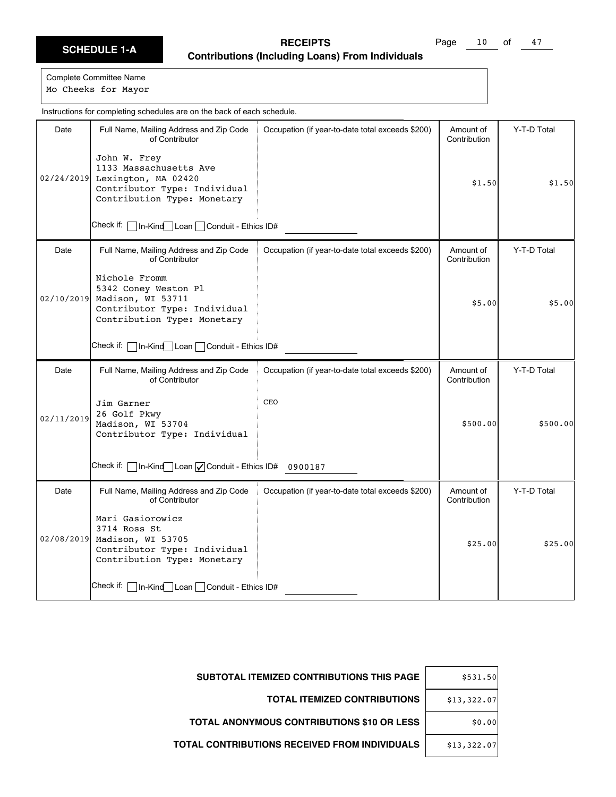Page 10 of 47

Complete Committee Name Mo Cheeks for Mayor

Date | Full Name, Mailing Address and Zip Code of Contributor Check if: In-Kind Loan Conduit - Ethics ID# Occupation (if year-to-date total exceeds \$200) | Amount of Contribution Y-T-D Total 02/24/2019 Lexington, MA 02420 John W. Frey 1133 Massachusetts Ave Contributor Type: Individual Contribution Type: Monetary  $$1.50$   $$1.50$ Date | Full Name, Mailing Address and Zip Code of Contributor Check if: | In-Kind Loan | Conduit - Ethics ID# Occupation (if year-to-date total exceeds \$200) | Amount of Contribution Y-T-D Total 02/10/2019 Nichole Fromm 5342 Coney Weston Pl Madison, WI 53711 Contributor Type: Individual Contribution Type: Monetary \$5.00 \$5.00 Date | Full Name, Mailing Address and Zip Code of Contributor Check if:  $\Box$  In-Kind $\Box$  Loan  $\Box$  Conduit - Ethics ID# 0900187 Occupation (if year-to-date total exceeds \$200) | Amount of Contribution Y-T-D Total 02/11/2019 Jim Garner 26 Golf Pkwy Madison, WI 53704 Contributor Type: Individual CEO \$500.00 \$500.00 Date | Full Name, Mailing Address and Zip Code of Contributor Check if: | In-Kind Loan | Conduit - Ethics ID# Occupation (if year-to-date total exceeds \$200) | Amount of Contribution Y-T-D Total 02/08/2019 Madison, WI 53705 Mari Gasiorowicz 3714 Ross St Contributor Type: Individual Contribution Type: Monetary  $$25.00$   $$25.00$ Instructions for completing schedules are on the back of each schedule.

| \$531.50    | <b>SUBTOTAL ITEMIZED CONTRIBUTIONS THIS PAGE</b>     |
|-------------|------------------------------------------------------|
| \$13,322.07 | <b>TOTAL ITEMIZED CONTRIBUTIONS</b>                  |
| \$0.00      | <b>TOTAL ANONYMOUS CONTRIBUTIONS \$10 OR LESS</b>    |
| \$13,322.07 | <b>TOTAL CONTRIBUTIONS RECEIVED FROM INDIVIDUALS</b> |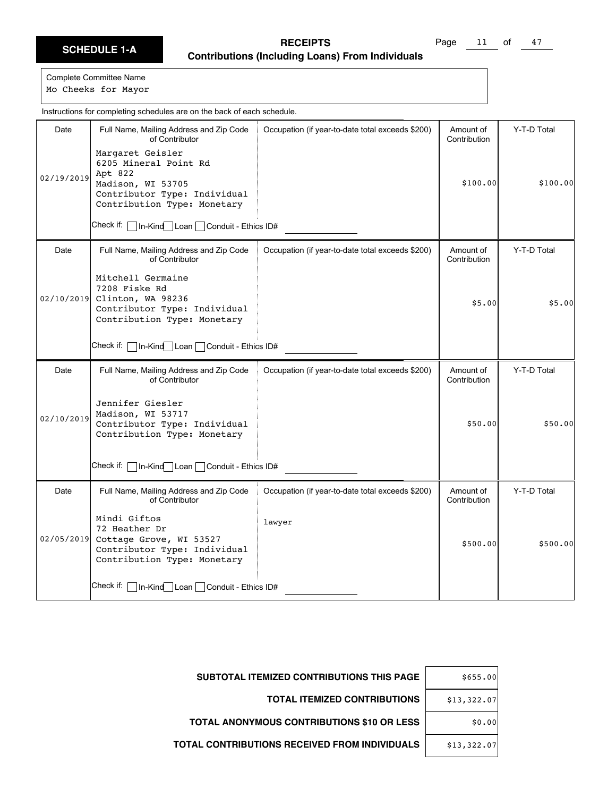Page 11 of 47

Complete Committee Name Mo Cheeks for Mayor

Date | Full Name, Mailing Address and Zip Code of Contributor Check if: In-Kind Loan Conduit - Ethics ID# Occupation (if year-to-date total exceeds \$200) | Amount of Contribution Y-T-D Total 02/19/2019 Margaret Geisler 6205 Mineral Point Rd Apt 822 Madison, WI 53705 Contributor Type: Individual Contribution Type: Monetary \$100.00 \$100.00 Date | Full Name, Mailing Address and Zip Code of Contributor Check if: | In-Kind Loan | Conduit - Ethics ID# Occupation (if year-to-date total exceeds \$200) | Amount of Contribution Y-T-D Total 02/10/2019 Mitchell Germaine 7208 Fiske Rd Clinton, WA 98236 Contributor Type: Individual Contribution Type: Monetary \$5.00 \$5.00 Date | Full Name, Mailing Address and Zip Code of Contributor Check if:  $\Box$  In-Kind Loan  $\Box$  Conduit - Ethics ID# Occupation (if year-to-date total exceeds \$200) | Amount of Contribution Y-T-D Total 02/10/2019 Jennifer Giesler Madison, WI 53717 Contributor Type: Individual Contribution Type: Monetary \$50.00 \$50.00 Date | Full Name, Mailing Address and Zip Code of Contributor Check if: | In-Kind Loan | Conduit - Ethics ID# Occupation (if year-to-date total exceeds \$200) | Amount of Contribution Y-T-D Total 02/05/2019 Mindi Giftos 72 Heather Dr Cottage Grove, WI 53527 Contributor Type: Individual Contribution Type: Monetary lawyer \$500.00 \$500.00 Instructions for completing schedules are on the back of each schedule.

| \$655.00    | <b>SUBTOTAL ITEMIZED CONTRIBUTIONS THIS PAGE</b>  |
|-------------|---------------------------------------------------|
| \$13,322.07 | <b>TOTAL ITEMIZED CONTRIBUTIONS</b>               |
| \$0.00      | <b>TOTAL ANONYMOUS CONTRIBUTIONS \$10 OR LESS</b> |
| \$13,322.07 | TOTAL CONTRIBUTIONS RECEIVED FROM INDIVIDUALS     |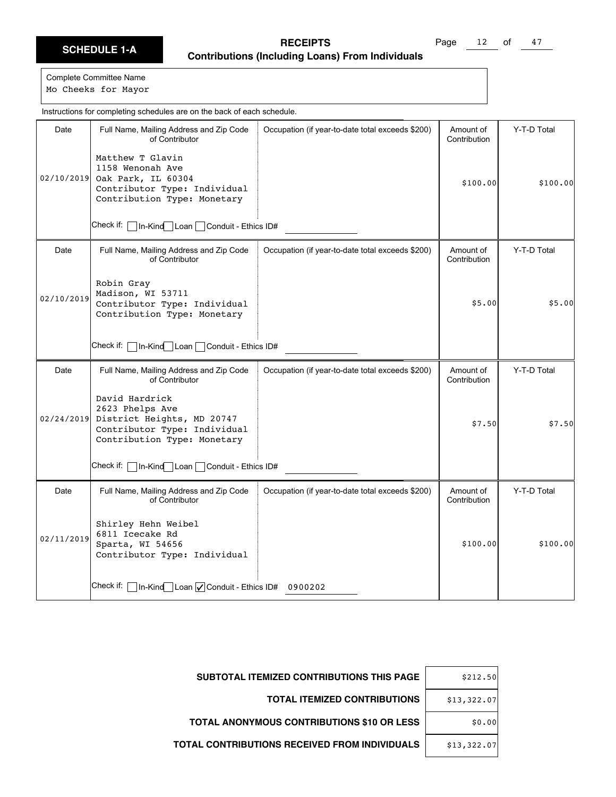Page 12 of 47

Complete Committee Name Mo Cheeks for Mayor

Date | Full Name, Mailing Address and Zip Code of Contributor Check if: In-Kind Loan Conduit - Ethics ID# Occupation (if year-to-date total exceeds \$200) | Amount of Contribution Y-T-D Total 02/10/2019 Oak Park, IL 60304 Matthew T Glavin 1158 Wenonah Ave Contributor Type: Individual Contribution Type: Monetary \$100.00 \$100.00 Date Full Name, Mailing Address and Zip Code of Contributor Check if: | In-Kind Loan | Conduit - Ethics ID# Occupation (if year-to-date total exceeds \$200) | Amount of Contribution Y-T-D Total 02/10/2019 Robin Gray Madison, WI 53711 Contributor Type: Individual Contribution Type: Monetary \$5.00 \$5.00 Date | Full Name, Mailing Address and Zip Code of Contributor Check if: | In-Kind Loan | Conduit - Ethics ID# Occupation (if year-to-date total exceeds \$200) | Amount of Contribution Y-T-D Total 02/24/2019 David Hardrick 2623 Phelps Ave District Heights, MD 20747 Contributor Type: Individual Contribution Type: Monetary  $$7.50$   $$7.50$ Date | Full Name, Mailing Address and Zip Code of Contributor Check if: | In-Kind Loan | Conduit - Ethics ID# 0900202 Occupation (if year-to-date total exceeds \$200) | Amount of Contribution Y-T-D Total 02/11/2019 Shirley Hehn Weibel 6811 Icecake Rd Sparta, WI 54656 Contributor Type: Individual \$100.00 \$100.00 Instructions for completing schedules are on the back of each schedule.

| <b>SUBTOTAL ITEMIZED CONTRIBUTIONS THIS PAGE</b>     | \$212.50    |
|------------------------------------------------------|-------------|
| <b>TOTAL ITEMIZED CONTRIBUTIONS</b>                  | \$13,322.07 |
| <b>TOTAL ANONYMOUS CONTRIBUTIONS \$10 OR LESS</b>    | \$0.00      |
| <b>TOTAL CONTRIBUTIONS RECEIVED FROM INDIVIDUALS</b> | \$13,322.07 |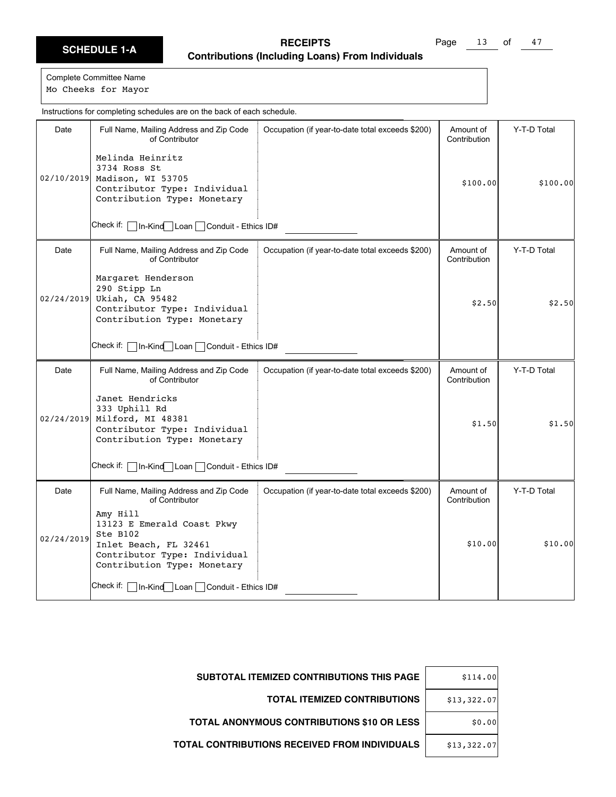Page 13 of 47

Complete Committee Name Mo Cheeks for Mayor

Date | Full Name, Mailing Address and Zip Code of Contributor Check if: In-Kind Loan Conduit - Ethics ID# Occupation (if year-to-date total exceeds \$200) | Amount of Contribution Y-T-D Total 02/10/2019 Madison, WI 53705 Melinda Heinritz 3734 Ross St Contributor Type: Individual Contribution Type: Monetary \$100.00 \$100.00 Date Full Name, Mailing Address and Zip Code of Contributor Check if: | In-Kind Loan | Conduit - Ethics ID# Occupation (if year-to-date total exceeds \$200) | Amount of Contribution Y-T-D Total 02/24/2019 Margaret Henderson 290 Stipp Ln Ukiah, CA 95482 Contributor Type: Individual Contribution Type: Monetary  $$2.50$   $$2.50$ Date | Full Name, Mailing Address and Zip Code of Contributor Check if: | In-Kind Loan | Conduit - Ethics ID# Occupation (if year-to-date total exceeds \$200) | Amount of Contribution Y-T-D Total 02/24/2019 Janet Hendricks 333 Uphill Rd Milford, MI 48381 Contributor Type: Individual Contribution Type: Monetary  $$1.50$   $$1.50$ Date | Full Name, Mailing Address and Zip Code of Contributor Check if: **In-Kind** Loan Conduit - Ethics ID# Occupation (if year-to-date total exceeds \$200) | Amount of Contribution Y-T-D Total 02/24/2019 Amy Hill 13123 E Emerald Coast Pkwy Ste B102 Inlet Beach, FL 32461 Contributor Type: Individual Contribution Type: Monetary \$10.00 \$10.00 Instructions for completing schedules are on the back of each schedule.

| \$114.00    | <b>SUBTOTAL ITEMIZED CONTRIBUTIONS THIS PAGE</b>  |
|-------------|---------------------------------------------------|
| \$13,322.07 | <b>TOTAL ITEMIZED CONTRIBUTIONS</b>               |
| \$0.00      | <b>TOTAL ANONYMOUS CONTRIBUTIONS \$10 OR LESS</b> |
| \$13,322.07 | TOTAL CONTRIBUTIONS RECEIVED FROM INDIVIDUALS     |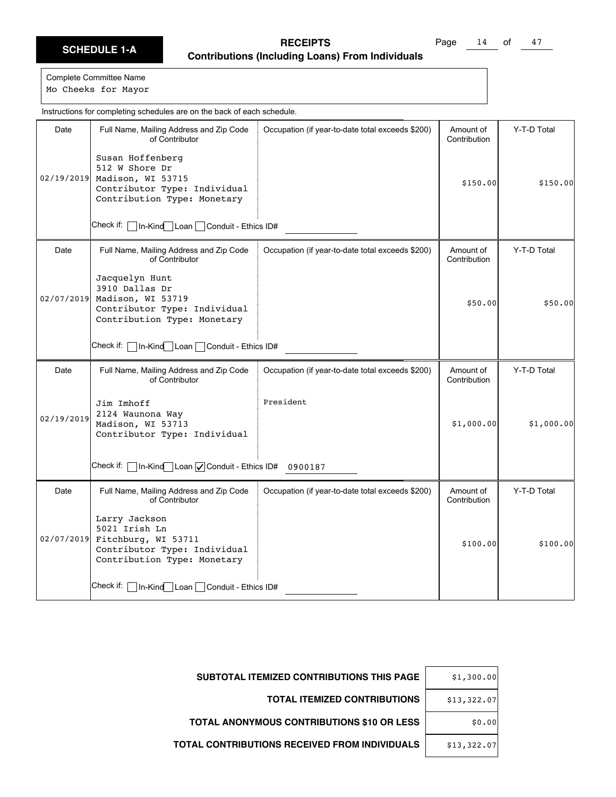Page 14 of 47

Complete Committee Name

Mo Cheeks for Mayor

Date | Full Name, Mailing Address and Zip Code of Contributor Check if: In-Kind Loan Conduit - Ethics ID# Occupation (if year-to-date total exceeds \$200) | Amount of Contribution Y-T-D Total 02/19/2019 Madison, WI 53715 Susan Hoffenberg 512 W Shore Dr Contributor Type: Individual Contribution Type: Monetary \$150.00 \$150.00 Date | Full Name, Mailing Address and Zip Code of Contributor Check if: | In-Kind Loan | Conduit - Ethics ID# Occupation (if year-to-date total exceeds \$200) | Amount of Contribution Y-T-D Total 02/07/2019 Jacquelyn Hunt 3910 Dallas Dr Madison, WI 53719 Contributor Type: Individual Contribution Type: Monetary \$50.00 \$50.00 Date | Full Name, Mailing Address and Zip Code of Contributor Check if:  $\Box$  In-Kind $\Box$  Loan  $\Box$  Conduit - Ethics ID# 0900187 Occupation (if year-to-date total exceeds \$200) | Amount of Contribution Y-T-D Total 02/19/2019 Jim Imhoff 2124 Waunona Way Madison, WI 53713 Contributor Type: Individual President  $$1,000.00$   $$1,000.00$ Date | Full Name, Mailing Address and Zip Code of Contributor Check if: In-Kind Loan Conduit - Ethics ID# Occupation (if year-to-date total exceeds \$200) | Amount of Contribution Y-T-D Total 02/07/2019 Fitchburg, WI 53711 Larry Jackson 5021 Irish Ln Contributor Type: Individual Contribution Type: Monetary \$100.00 \$100.00 Instructions for completing schedules are on the back of each schedule.

| \$1,300.00  | <b>SUBTOTAL ITEMIZED CONTRIBUTIONS THIS PAGE</b>     |
|-------------|------------------------------------------------------|
| \$13,322.07 | <b>TOTAL ITEMIZED CONTRIBUTIONS</b>                  |
| \$0.00      | <b>TOTAL ANONYMOUS CONTRIBUTIONS \$10 OR LESS</b>    |
| \$13,322.07 | <b>TOTAL CONTRIBUTIONS RECEIVED FROM INDIVIDUALS</b> |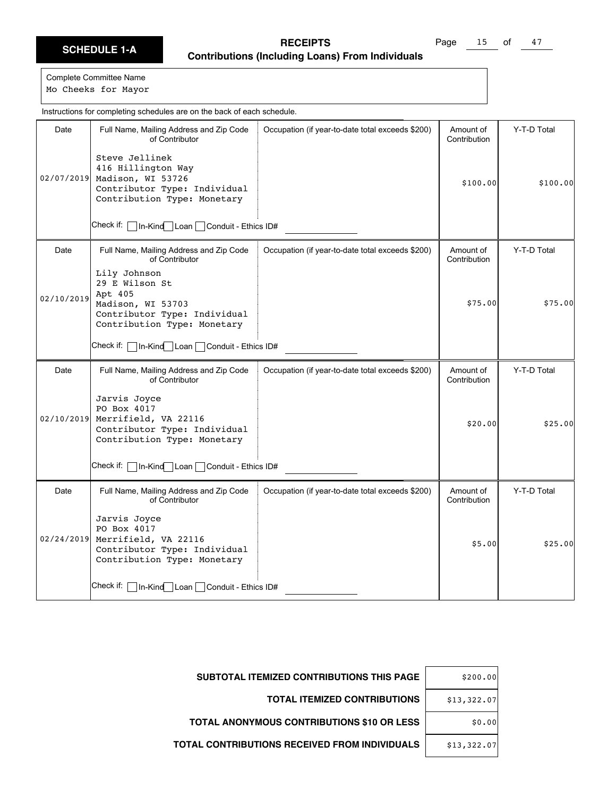Page 15 of 47

| Instructions for completing schedules are on the back of each schedule. |                                                                                                                               |                                                  |                           |             |  |
|-------------------------------------------------------------------------|-------------------------------------------------------------------------------------------------------------------------------|--------------------------------------------------|---------------------------|-------------|--|
| Date                                                                    | Full Name, Mailing Address and Zip Code<br>of Contributor<br>Steve Jellinek                                                   | Occupation (if year-to-date total exceeds \$200) | Amount of<br>Contribution | Y-T-D Total |  |
| 02/07/2019                                                              | 416 Hillington Way<br>Madison, WI 53726<br>Contributor Type: Individual<br>Contribution Type: Monetary                        |                                                  | \$100.00                  | \$100.00]   |  |
|                                                                         | Check if:  <br>In-Kind Loan Conduit - Ethics ID#                                                                              |                                                  |                           |             |  |
| Date                                                                    | Full Name, Mailing Address and Zip Code<br>of Contributor                                                                     | Occupation (if year-to-date total exceeds \$200) | Amount of<br>Contribution | Y-T-D Total |  |
| 02/10/2019                                                              | Lily Johnson<br>29 E Wilson St<br>Apt 405<br>Madison, WI 53703<br>Contributor Type: Individual<br>Contribution Type: Monetary |                                                  | \$75.00                   | \$75.00     |  |
|                                                                         | Check if:  <br> In-Kind Loan Conduit - Ethics ID#                                                                             |                                                  |                           |             |  |
| Date                                                                    | Full Name, Mailing Address and Zip Code<br>of Contributor                                                                     | Occupation (if year-to-date total exceeds \$200) | Amount of<br>Contribution | Y-T-D Total |  |
| 02/10/2019                                                              | Jarvis Joyce<br>PO Box 4017<br>Merrifield, VA 22116<br>Contributor Type: Individual<br>Contribution Type: Monetary            |                                                  | \$20.00                   | \$25.00     |  |
|                                                                         | Check if: [<br>In-Kind Loan Conduit - Ethics ID#                                                                              |                                                  |                           |             |  |
| Date                                                                    | Full Name, Mailing Address and Zip Code<br>of Contributor                                                                     | Occupation (if year-to-date total exceeds \$200) | Amount of<br>Contribution | Y-T-D Total |  |
| 02/24/2019                                                              | Jarvis Joyce<br>PO Box 4017<br>Merrifield, VA 22116<br>Contributor Type: Individual<br>Contribution Type: Monetary            |                                                  | \$5.00                    | \$25.00     |  |
|                                                                         | Check if: [<br>In-Kind   Loan   Conduit - Ethics ID#                                                                          |                                                  |                           |             |  |

| \$200.00    | SUBTOTAL ITEMIZED CONTRIBUTIONS THIS PAGE            |
|-------------|------------------------------------------------------|
| \$13,322.07 | <b>TOTAL ITEMIZED CONTRIBUTIONS</b>                  |
| \$0.00      | <b>TOTAL ANONYMOUS CONTRIBUTIONS \$10 OR LESS</b>    |
| \$13,322.07 | <b>TOTAL CONTRIBUTIONS RECEIVED FROM INDIVIDUALS</b> |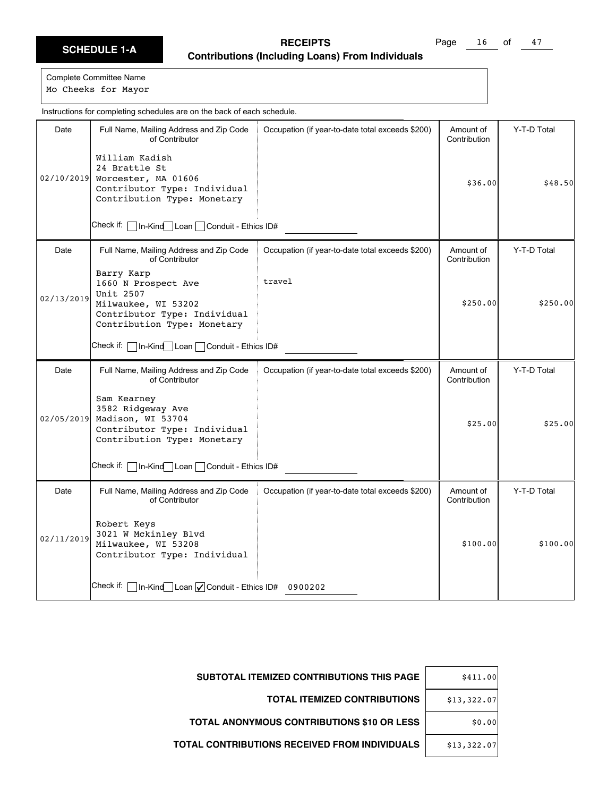Page 16 of 47

Complete Committee Name Mo Cheeks for Mayor

Date | Full Name, Mailing Address and Zip Code of Contributor Check if: In-Kind Loan Conduit - Ethics ID# Occupation (if year-to-date total exceeds \$200) | Amount of Contribution Y-T-D Total 02/10/2019 Worcester, MA 01606 William Kadish 24 Brattle St Contributor Type: Individual Contribution Type: Monetary  $$36.00$   $$48.50$ Date | Full Name, Mailing Address and Zip Code of Contributor Check if: | In-Kind Loan | Conduit - Ethics ID# Occupation (if year-to-date total exceeds \$200) | Amount of Contribution Y-T-D Total 02/13/2019 Barry Karp 1660 N Prospect Ave Unit 2507 Milwaukee, WI 53202 Contributor Type: Individual Contribution Type: Monetary travel  $$250.00$   $$250.00$ Date | Full Name, Mailing Address and Zip Code of Contributor Check if: | In-Kind Loan | Conduit - Ethics ID# Occupation (if year-to-date total exceeds \$200) | Amount of Contribution Y-T-D Total 02/05/2019 Sam Kearney 3582 Ridgeway Ave Madison, WI 53704 Contributor Type: Individual Contribution Type: Monetary \$25.00 \$25.00 Date | Full Name, Mailing Address and Zip Code of Contributor Check if: | In-Kind Loan | Conduit - Ethics ID# 0900202 Occupation (if year-to-date total exceeds \$200) | Amount of Contribution Y-T-D Total 02/11/2019 Robert Keys 3021 W Mckinley Blvd Milwaukee, WI 53208 Contributor Type: Individual \$100.00 \$100.00 Instructions for completing schedules are on the back of each schedule.

| \$411.00    | <b>SUBTOTAL ITEMIZED CONTRIBUTIONS THIS PAGE</b>     |
|-------------|------------------------------------------------------|
| \$13,322.07 | <b>TOTAL ITEMIZED CONTRIBUTIONS</b>                  |
| \$0.00      | <b>TOTAL ANONYMOUS CONTRIBUTIONS \$10 OR LESS</b>    |
| \$13,322.07 | <b>TOTAL CONTRIBUTIONS RECEIVED FROM INDIVIDUALS</b> |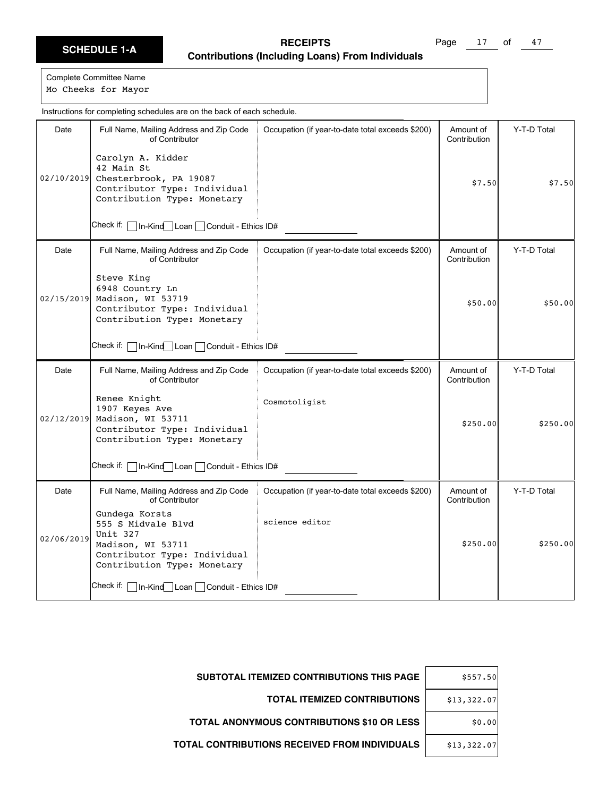Page 17 of 47

| Instructions for completing schedules are on the back of each schedule. |                                                                                                                                      |                                                  |                           |             |
|-------------------------------------------------------------------------|--------------------------------------------------------------------------------------------------------------------------------------|--------------------------------------------------|---------------------------|-------------|
| Date                                                                    | Full Name, Mailing Address and Zip Code<br>of Contributor                                                                            | Occupation (if year-to-date total exceeds \$200) | Amount of<br>Contribution | Y-T-D Total |
| 02/10/2019                                                              | Carolyn A. Kidder<br>42 Main St<br>Chesterbrook, PA 19087<br>Contributor Type: Individual<br>Contribution Type: Monetary             |                                                  | \$7.50                    | \$7.50      |
|                                                                         | Check if:  <br>In-Kind Loan Conduit - Ethics ID#                                                                                     |                                                  |                           |             |
| Date                                                                    | Full Name, Mailing Address and Zip Code<br>of Contributor                                                                            | Occupation (if year-to-date total exceeds \$200) | Amount of<br>Contribution | Y-T-D Total |
|                                                                         | Steve King<br>6948 Country Ln<br>02/15/2019 Madison, WI 53719<br>Contributor Type: Individual<br>Contribution Type: Monetary         |                                                  | \$50.00                   | \$50.00]    |
|                                                                         | Check if: [<br>□In-Kind Loan Conduit - Ethics ID#                                                                                    |                                                  |                           |             |
| Date                                                                    | Full Name, Mailing Address and Zip Code<br>of Contributor                                                                            | Occupation (if year-to-date total exceeds \$200) | Amount of<br>Contribution | Y-T-D Total |
|                                                                         | Renee Knight<br>1907 Keyes Ave<br>02/12/2019 Madison, WI 53711<br>Contributor Type: Individual<br>Contribution Type: Monetary        | Cosmotoligist                                    | \$250.00                  | \$250.00    |
|                                                                         | Check if: [<br>In-Kind Loan Conduit - Ethics ID#                                                                                     |                                                  |                           |             |
| Date                                                                    | Full Name, Mailing Address and Zip Code<br>of Contributor                                                                            | Occupation (if year-to-date total exceeds \$200) | Amount of<br>Contribution | Y-T-D Total |
| 02/06/2019                                                              | Gundega Korsts<br>555 S Midvale Blvd<br>Unit 327<br>Madison, WI 53711<br>Contributor Type: Individual<br>Contribution Type: Monetary | science editor                                   | \$250.00                  | \$250.00    |
|                                                                         | Check if:   In-Kind Loan   Conduit - Ethics ID#                                                                                      |                                                  |                           |             |

| SUBTOTAL ITEMIZED CONTRIBUTIONS THIS PAGE         | \$557.50    |
|---------------------------------------------------|-------------|
| <b>TOTAL ITEMIZED CONTRIBUTIONS</b>               | \$13,322.07 |
| <b>TOTAL ANONYMOUS CONTRIBUTIONS \$10 OR LESS</b> | \$0.00      |
| TOTAL CONTRIBUTIONS RECEIVED FROM INDIVIDUALS     | \$13,322.07 |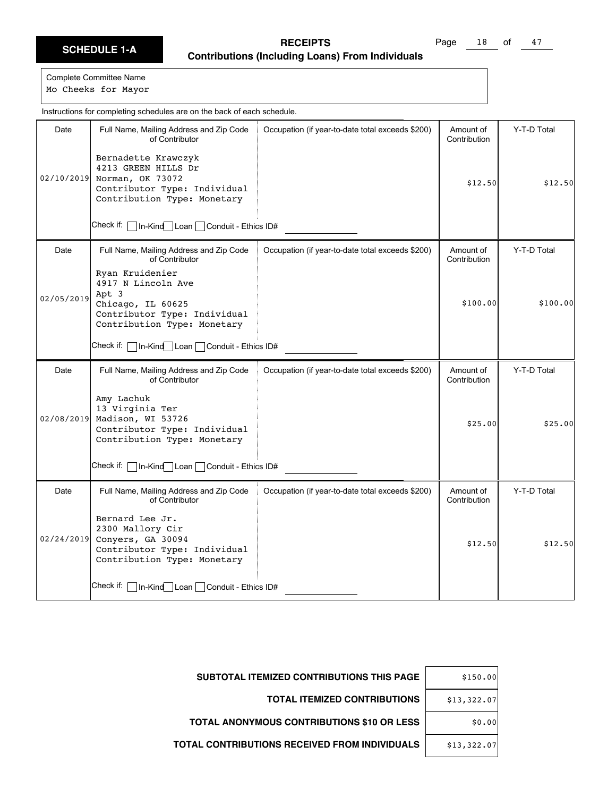Page 18 of 47

| Instructions for completing schedules are on the back of each schedule. |                                                                                                                                    |                                                  |                           |             |  |
|-------------------------------------------------------------------------|------------------------------------------------------------------------------------------------------------------------------------|--------------------------------------------------|---------------------------|-------------|--|
| Date                                                                    | Full Name, Mailing Address and Zip Code<br>of Contributor                                                                          | Occupation (if year-to-date total exceeds \$200) | Amount of<br>Contribution | Y-T-D Total |  |
| 02/10/2019                                                              | Bernadette Krawczyk<br>4213 GREEN HILLS Dr<br>Norman, OK 73072<br>Contributor Type: Individual<br>Contribution Type: Monetary      |                                                  | \$12.50                   | \$12.50     |  |
|                                                                         | Check if:<br>1n-Kind Loan Conduit - Ethics ID#                                                                                     |                                                  |                           |             |  |
| Date                                                                    | Full Name, Mailing Address and Zip Code<br>of Contributor                                                                          | Occupation (if year-to-date total exceeds \$200) | Amount of<br>Contribution | Y-T-D Total |  |
| 02/05/2019                                                              | Ryan Kruidenier<br>4917 N Lincoln Ave<br>Apt 3<br>Chicago, IL 60625<br>Contributor Type: Individual<br>Contribution Type: Monetary |                                                  | \$100.00                  | \$100.00]   |  |
|                                                                         | Check if: l<br>In-Kind Loan Conduit - Ethics ID#                                                                                   |                                                  |                           |             |  |
| Date                                                                    | Full Name, Mailing Address and Zip Code<br>of Contributor                                                                          | Occupation (if year-to-date total exceeds \$200) | Amount of<br>Contribution | Y-T-D Total |  |
| 02/08/2019                                                              | Amy Lachuk<br>13 Virginia Ter<br>Madison, WI 53726<br>Contributor Type: Individual<br>Contribution Type: Monetary                  |                                                  | \$25.00                   | \$25.00     |  |
|                                                                         | Check if: [<br>In-Kind Loan Conduit - Ethics ID#                                                                                   |                                                  |                           |             |  |
| Date                                                                    | Full Name, Mailing Address and Zip Code<br>of Contributor                                                                          | Occupation (if year-to-date total exceeds \$200) | Amount of<br>Contribution | Y-T-D Total |  |
| 02/24/2019                                                              | Bernard Lee Jr.<br>2300 Mallory Cir<br>Conyers, GA 30094<br>Contributor Type: Individual<br>Contribution Type: Monetary            |                                                  | \$12.50                   | \$12.50     |  |
|                                                                         | Check if:   In-Kind   Loan   Conduit - Ethics ID#                                                                                  |                                                  |                           |             |  |

| \$150.00    | <b>SUBTOTAL ITEMIZED CONTRIBUTIONS THIS PAGE</b>  |
|-------------|---------------------------------------------------|
| \$13,322.07 | <b>TOTAL ITEMIZED CONTRIBUTIONS</b>               |
| \$0.00      | <b>TOTAL ANONYMOUS CONTRIBUTIONS \$10 OR LESS</b> |
| \$13,322.07 | TOTAL CONTRIBUTIONS RECEIVED FROM INDIVIDUALS     |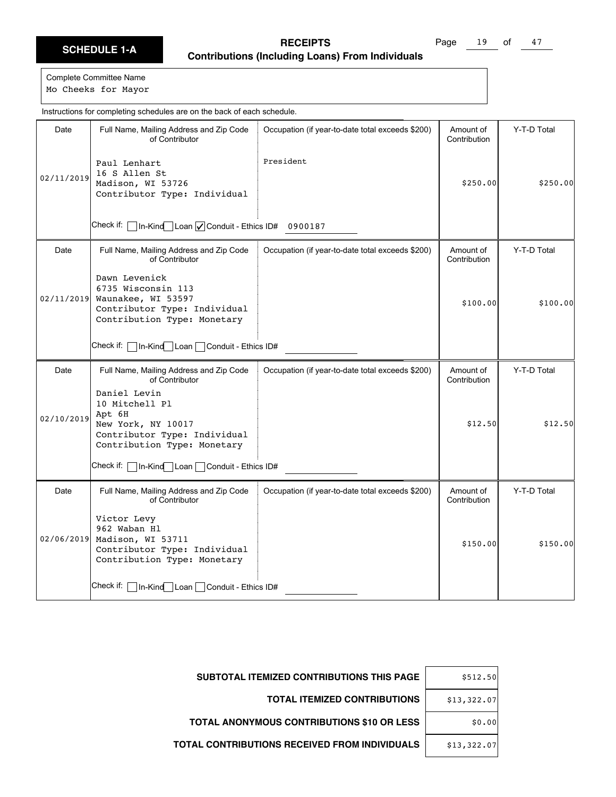Page 19 of 47

Complete Committee Name Mo Cheeks for Mayor

Date | Full Name, Mailing Address and Zip Code of Contributor Check if:  $\Box$  In-Kind $\Box$  Loan  $\Box$  Conduit - Ethics ID# 0900187 Occupation (if year-to-date total exceeds \$200) | Amount of Contribution Y-T-D Total 02/11/2019 Paul Lenhart 16 S Allen St Madison, WI 53726 Contributor Type: Individual President \$250.00 \$250.00 Date | Full Name, Mailing Address and Zip Code of Contributor Check if: | In-Kind Loan | Conduit - Ethics ID# Occupation (if year-to-date total exceeds \$200) | Amount of Contribution Y-T-D Total 02/11/2019 Dawn Levenick 6735 Wisconsin 113 Waunakee, WI 53597 Contributor Type: Individual Contribution Type: Monetary  $$100.00$   $$100.00$ Date | Full Name, Mailing Address and Zip Code of Contributor Check if: | In-Kind Loan | Conduit - Ethics ID# Occupation (if year-to-date total exceeds \$200) | Amount of Contribution Y-T-D Total 02/10/2019 Daniel Levin 10 Mitchell Pl Apt 6H New York, NY 10017 Contributor Type: Individual Contribution Type: Monetary \$12.50 \$12.50 Date | Full Name, Mailing Address and Zip Code of Contributor Check if: In-Kind Loan Conduit - Ethics ID# Occupation (if year-to-date total exceeds \$200) | Amount of Contribution Y-T-D Total 02/06/2019 Madison, WI 53711 Victor Levy 962 Waban Hl Contributor Type: Individual Contribution Type: Monetary \$150.00 \$150.00 Instructions for completing schedules are on the back of each schedule.

| <b>SUBTOTAL ITEMIZED CONTRIBUTIONS THIS PAGE</b> | \$512.50    |
|--------------------------------------------------|-------------|
| <b>TOTAL ITEMIZED CONTRIBUTIONS</b>              | \$13,322.07 |
| TOTAL ANONYMOUS CONTRIBUTIONS \$10 OR LESS       | \$0.00      |
| TOTAL CONTRIBUTIONS RECEIVED FROM INDIVIDUALS    | \$13,322.07 |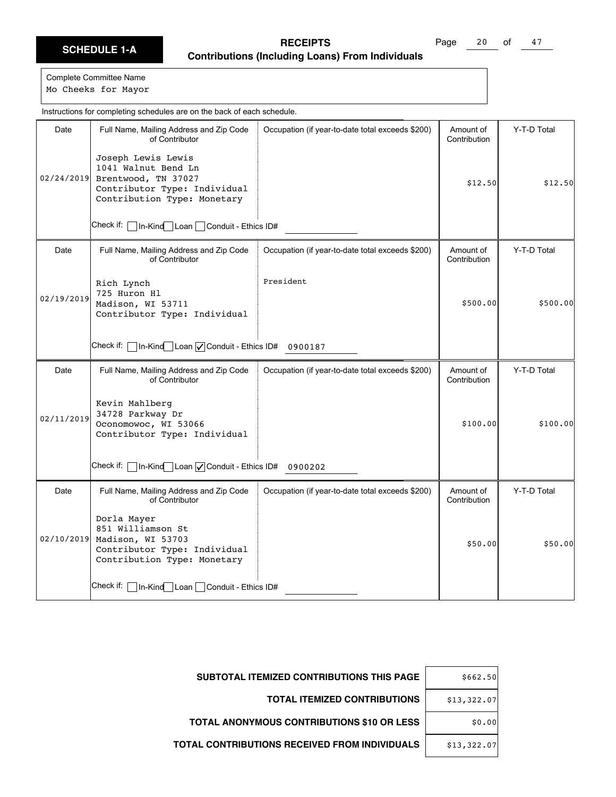Page 20 of 47

|            | Instructions for completing schedules are on the back of each schedule.                                                         |                                                  |                           |             |  |
|------------|---------------------------------------------------------------------------------------------------------------------------------|--------------------------------------------------|---------------------------|-------------|--|
| Date       | Full Name, Mailing Address and Zip Code<br>of Contributor                                                                       | Occupation (if year-to-date total exceeds \$200) | Amount of<br>Contribution | Y-T-D Total |  |
| 02/24/2019 | Joseph Lewis Lewis<br>1041 Walnut Bend Ln<br>Brentwood, TN 37027<br>Contributor Type: Individual<br>Contribution Type: Monetary |                                                  | \$12.50                   | \$12.50     |  |
|            | Check if: $\Box$ In-Kind Loan $\Box$ Conduit - Ethics ID#                                                                       |                                                  |                           |             |  |
| Date       | Full Name, Mailing Address and Zip Code<br>of Contributor                                                                       | Occupation (if year-to-date total exceeds \$200) | Amount of<br>Contribution | Y-T-D Total |  |
| 02/19/2019 | Rich Lynch<br>725 Huron Hl<br>Madison, WI 53711<br>Contributor Type: Individual                                                 | President                                        | \$500.00                  | \$500.00]   |  |
|            | Check if:   In-Kind Loan   Conduit - Ethics ID# 0900187                                                                         |                                                  |                           |             |  |
| Date       | Full Name, Mailing Address and Zip Code<br>of Contributor                                                                       | Occupation (if year-to-date total exceeds \$200) | Amount of<br>Contribution | Y-T-D Total |  |
| 02/11/2019 | Kevin Mahlberg<br>34728 Parkway Dr<br>Oconomowoc, WI 53066<br>Contributor Type: Individual                                      |                                                  | \$100.00                  | \$100.00    |  |
|            | Check if:   In-Kind Loan   Conduit - Ethics ID# 0900202                                                                         |                                                  |                           |             |  |
| Date       | Full Name, Mailing Address and Zip Code<br>of Contributor                                                                       | Occupation (if year-to-date total exceeds \$200) | Amount of<br>Contribution | Y-T-D Total |  |
| 02/10/2019 | Dorla Mayer<br>851 Williamson St<br>Madison, WI 53703<br>Contributor Type: Individual<br>Contribution Type: Monetary            |                                                  | \$50.00                   | \$50.00     |  |
|            | Check if:   In-Kind Loan   Conduit - Ethics ID#                                                                                 |                                                  |                           |             |  |

| \$662.50    | SUBTOTAL ITEMIZED CONTRIBUTIONS THIS PAGE     |
|-------------|-----------------------------------------------|
| \$13,322.07 | <b>TOTAL ITEMIZED CONTRIBUTIONS</b>           |
| \$0.00      | TOTAL ANONYMOUS CONTRIBUTIONS \$10 OR LESS    |
| \$13,322.07 | TOTAL CONTRIBUTIONS RECEIVED FROM INDIVIDUALS |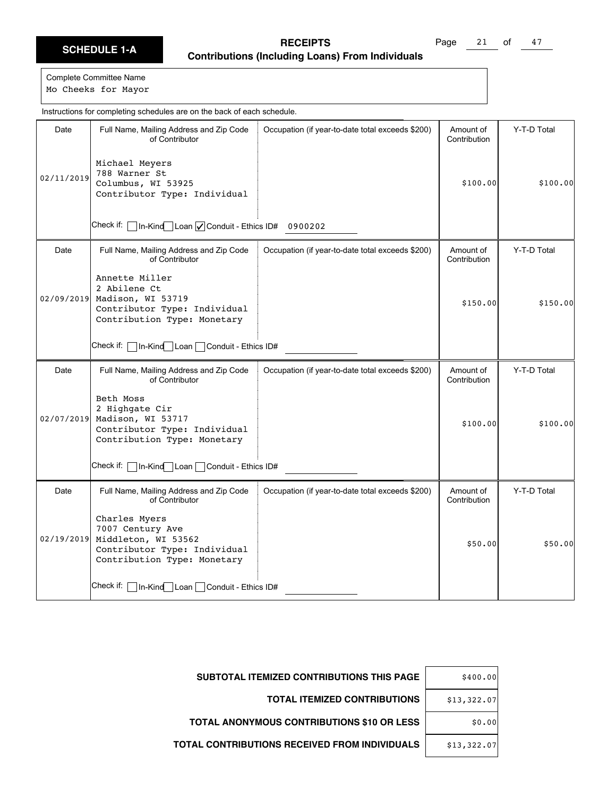Page  $21$  of  $47$ 

|            | Instructions for completing schedules are on the back of each schedule.                                                 |                                                  |                           |             |
|------------|-------------------------------------------------------------------------------------------------------------------------|--------------------------------------------------|---------------------------|-------------|
| Date       | Full Name, Mailing Address and Zip Code<br>of Contributor                                                               | Occupation (if year-to-date total exceeds \$200) | Amount of<br>Contribution | Y-T-D Total |
| 02/11/2019 | Michael Meyers<br>788 Warner St<br>Columbus, WI 53925<br>Contributor Type: Individual                                   |                                                  | \$100.00                  | \$100.00    |
|            | $\sqrt{\ln K}$ Kind Loan $\sqrt{\ln K}$ Conduit - Ethics ID# 0900202<br>Check if:                                       |                                                  |                           |             |
| Date       | Full Name, Mailing Address and Zip Code<br>of Contributor                                                               | Occupation (if year-to-date total exceeds \$200) | Amount of<br>Contribution | Y-T-D Total |
| 02/09/2019 | Annette Miller<br>2 Abilene Ct<br>Madison, WI 53719<br>Contributor Type: Individual<br>Contribution Type: Monetary      |                                                  | \$150.00                  | \$150.00    |
|            | Check if:  <br>In-Kind Loan Conduit - Ethics ID#                                                                        |                                                  |                           |             |
| Date       | Full Name, Mailing Address and Zip Code<br>of Contributor                                                               | Occupation (if year-to-date total exceeds \$200) | Amount of<br>Contribution | Y-T-D Total |
| 02/07/2019 | Beth Moss<br>2 Highgate Cir<br>Madison, WI 53717<br>Contributor Type: Individual<br>Contribution Type: Monetary         |                                                  | \$100.00                  | \$100.00]   |
|            | Check if: [<br>In-Kind Loan Conduit - Ethics ID#                                                                        |                                                  |                           |             |
| Date       | Full Name, Mailing Address and Zip Code<br>of Contributor                                                               | Occupation (if year-to-date total exceeds \$200) | Amount of<br>Contribution | Y-T-D Total |
| 02/19/2019 | Charles Myers<br>7007 Century Ave<br>Middleton, WI 53562<br>Contributor Type: Individual<br>Contribution Type: Monetary |                                                  | \$50.00                   | \$50.00     |
|            | Check if:  <br>1n-Kind Loan Conduit - Ethics ID#                                                                        |                                                  |                           |             |

| \$400.00    | SUBTOTAL ITEMIZED CONTRIBUTIONS THIS PAGE            |
|-------------|------------------------------------------------------|
| \$13,322.07 | <b>TOTAL ITEMIZED CONTRIBUTIONS</b>                  |
| \$0.00      | <b>TOTAL ANONYMOUS CONTRIBUTIONS \$10 OR LESS</b>    |
| \$13,322.07 | <b>TOTAL CONTRIBUTIONS RECEIVED FROM INDIVIDUALS</b> |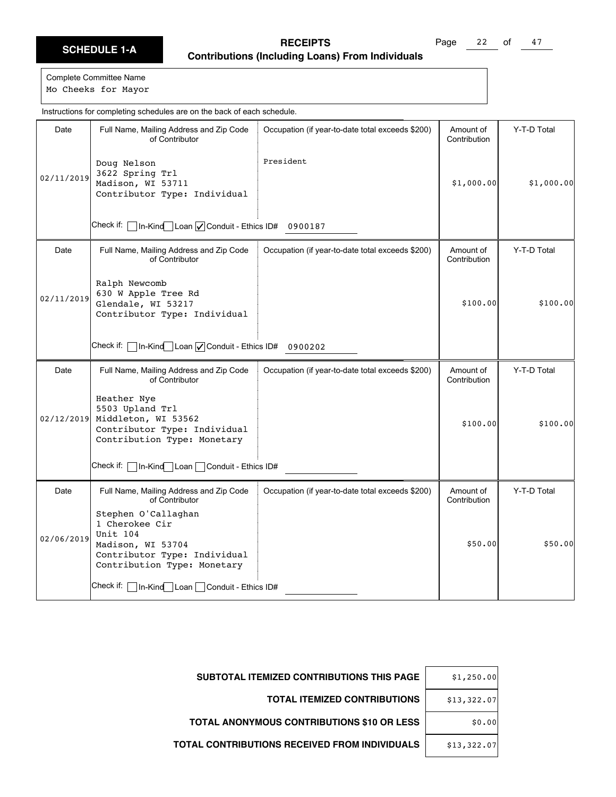Page  $22$  of  $47$ 

|            | Instructions for completing schedules are on the back of each schedule.                                                               |                                                  |                           |             |
|------------|---------------------------------------------------------------------------------------------------------------------------------------|--------------------------------------------------|---------------------------|-------------|
| Date       | Full Name, Mailing Address and Zip Code<br>of Contributor                                                                             | Occupation (if year-to-date total exceeds \$200) | Amount of<br>Contribution | Y-T-D Total |
| 02/11/2019 | Doug Nelson<br>3622 Spring Trl<br>Madison, WI 53711<br>Contributor Type: Individual                                                   | President                                        | \$1,000.00                | \$1,000.00] |
|            | Check if: $\Box$ In-Kind $\Box$ Loan $\Box$ Conduit - Ethics ID# 0900187                                                              |                                                  |                           |             |
| Date       | Full Name, Mailing Address and Zip Code<br>of Contributor                                                                             | Occupation (if year-to-date total exceeds \$200) | Amount of<br>Contribution | Y-T-D Total |
| 02/11/2019 | Ralph Newcomb<br>630 W Apple Tree Rd<br>Glendale, WI 53217<br>Contributor Type: Individual                                            |                                                  | \$100.00                  | \$100.00]   |
|            | Check if: $\Box$ In-Kind $\Box$ Loan $\Box$ Conduit - Ethics ID# 0900202                                                              |                                                  |                           |             |
| Date       | Full Name, Mailing Address and Zip Code<br>of Contributor                                                                             | Occupation (if year-to-date total exceeds \$200) | Amount of<br>Contribution | Y-T-D Total |
| 02/12/2019 | Heather Nye<br>5503 Upland Trl<br>Middleton, WI 53562<br>Contributor Type: Individual<br>Contribution Type: Monetary                  |                                                  | \$100.00                  | \$100.00]   |
|            | Check if:   In-Kind   Loan   Conduit - Ethics ID#                                                                                     |                                                  |                           |             |
| Date       | Full Name, Mailing Address and Zip Code<br>of Contributor                                                                             | Occupation (if year-to-date total exceeds \$200) | Amount of<br>Contribution | Y-T-D Total |
| 02/06/2019 | Stephen O'Callaghan<br>1 Cherokee Cir<br>Unit 104<br>Madison, WI 53704<br>Contributor Type: Individual<br>Contribution Type: Monetary |                                                  | \$50.00                   | \$50.00     |
|            | Check if:   In-Kind Loan   Conduit - Ethics ID#                                                                                       |                                                  |                           |             |

| \$1,250.00  | SUBTOTAL ITEMIZED CONTRIBUTIONS THIS PAGE         |
|-------------|---------------------------------------------------|
| \$13,322.07 | <b>TOTAL ITEMIZED CONTRIBUTIONS</b>               |
| \$0.00      | <b>TOTAL ANONYMOUS CONTRIBUTIONS \$10 OR LESS</b> |
| \$13,322.07 | TOTAL CONTRIBUTIONS RECEIVED FROM INDIVIDUALS     |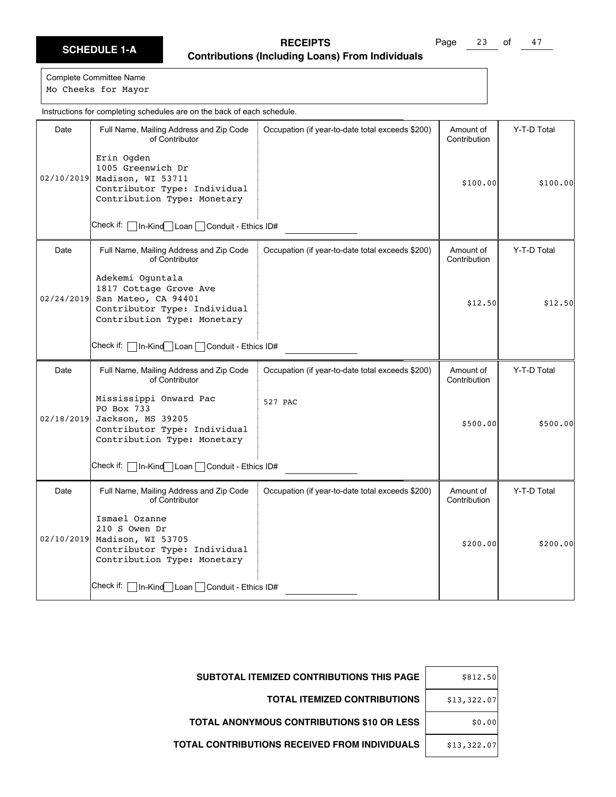Page 23 of 47

Complete Committee Name

Mo Cheeks for Mayor

|            | Instructions for completing schedules are on the back of each schedule.                                                          |                                                  |                           |             |
|------------|----------------------------------------------------------------------------------------------------------------------------------|--------------------------------------------------|---------------------------|-------------|
| Date       | Full Name, Mailing Address and Zip Code<br>of Contributor<br>Erin Ogden                                                          | Occupation (if year-to-date total exceeds \$200) | Amount of<br>Contribution | Y-T-D Total |
| 02/10/2019 | 1005 Greenwich Dr<br>Madison, WI 53711<br>Contributor Type: Individual<br>Contribution Type: Monetary                            |                                                  | \$100.00]                 | \$100.00]   |
|            | Check if:   In-Kind Loan   Conduit - Ethics ID#                                                                                  |                                                  |                           |             |
| Date       | Full Name, Mailing Address and Zip Code<br>of Contributor                                                                        | Occupation (if year-to-date total exceeds \$200) | Amount of<br>Contribution | Y-T-D Total |
| 02/24/2019 | Adekemi Oquntala<br>1817 Cottage Grove Ave<br>San Mateo, CA 94401<br>Contributor Type: Individual<br>Contribution Type: Monetary |                                                  | \$12.50                   | \$12.50     |
|            | Check if:     In-Kind   Loan   Conduit - Ethics ID#                                                                              |                                                  |                           |             |
| Date       | Full Name, Mailing Address and Zip Code<br>of Contributor                                                                        | Occupation (if year-to-date total exceeds \$200) | Amount of<br>Contribution | Y-T-D Total |
| 02/18/2019 | Mississippi Onward Pac<br>PO Box 733<br>Jackson, MS 39205<br>Contributor Type: Individual<br>Contribution Type: Monetary         | 527 PAC                                          | \$500.00                  | \$500.00    |
|            | Check if:   In-Kind Loan   Conduit - Ethics ID#                                                                                  |                                                  |                           |             |
| Date       | Full Name, Mailing Address and Zip Code<br>of Contributor                                                                        | Occupation (if year-to-date total exceeds \$200) | Amount of<br>Contribution | Y-T-D Total |
| 02/10/2019 | Ismael Ozanne<br>210 S Owen Dr<br>Madison, WI 53705<br>Contributor Type: Individual<br>Contribution Type: Monetary               |                                                  | \$200.00                  | \$200.00]   |
|            | Check if:   In-Kind Loan   Conduit - Ethics ID#                                                                                  |                                                  |                           |             |

| SUBTOTAL ITEMIZED CONTRIBUTIONS THIS PAGE            | \$812.50    |
|------------------------------------------------------|-------------|
| <b>TOTAL ITEMIZED CONTRIBUTIONS</b>                  | \$13,322.07 |
| <b>TOTAL ANONYMOUS CONTRIBUTIONS \$10 OR LESS</b>    | \$0.00      |
| <b>TOTAL CONTRIBUTIONS RECEIVED FROM INDIVIDUALS</b> | \$13,322.07 |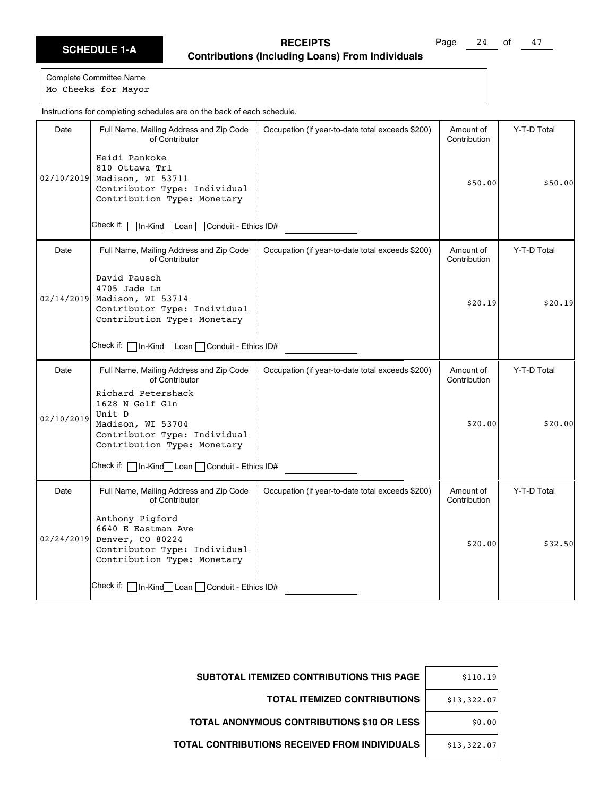Page 24 of 47

Complete Committee Name

Mo Cheeks for Mayor

|            | Instructions for completing schedules are on the back of each schedule.                                                             |                                                  |                           |             |
|------------|-------------------------------------------------------------------------------------------------------------------------------------|--------------------------------------------------|---------------------------|-------------|
| Date       | Full Name, Mailing Address and Zip Code<br>of Contributor                                                                           | Occupation (if year-to-date total exceeds \$200) | Amount of<br>Contribution | Y-T-D Total |
| 02/10/2019 | Heidi Pankoke<br>810 Ottawa Trl<br>Madison, WI 53711<br>Contributor Type: Individual<br>Contribution Type: Monetary                 |                                                  | \$50.00                   | \$50.00     |
|            | Check if:<br>In-Kind Loan Conduit - Ethics ID#                                                                                      |                                                  |                           |             |
| Date       | Full Name, Mailing Address and Zip Code<br>of Contributor                                                                           | Occupation (if year-to-date total exceeds \$200) | Amount of<br>Contribution | Y-T-D Total |
| 02/14/2019 | David Pausch<br>4705 Jade Ln<br>Madison, WI 53714<br>Contributor Type: Individual<br>Contribution Type: Monetary                    |                                                  | \$20.19                   | \$20.19     |
|            | Check if: l<br>In-Kind Loan Conduit - Ethics ID#                                                                                    |                                                  |                           |             |
| Date       | Full Name, Mailing Address and Zip Code<br>of Contributor                                                                           | Occupation (if year-to-date total exceeds \$200) | Amount of<br>Contribution | Y-T-D Total |
| 02/10/2019 | Richard Petershack<br>1628 N Golf Gln<br>Unit D<br>Madison, WI 53704<br>Contributor Type: Individual<br>Contribution Type: Monetary |                                                  | \$20.00                   | \$20.00]    |
|            | Check if:  <br>In-Kind Loan Conduit - Ethics ID#                                                                                    |                                                  |                           |             |
| Date       | Full Name, Mailing Address and Zip Code<br>of Contributor                                                                           | Occupation (if year-to-date total exceeds \$200) | Amount of<br>Contribution | Y-T-D Total |
| 02/24/2019 | Anthony Pigford<br>6640 E Eastman Ave<br>Denver, CO 80224<br>Contributor Type: Individual<br>Contribution Type: Monetary            |                                                  | \$20.00                   | \$32.50     |
|            | Check if:   In-Kind   Loan   Conduit - Ethics ID#                                                                                   |                                                  |                           |             |

| SUBTOTAL ITEMIZED CONTRIBUTIONS THIS PAGE         | \$110.19    |
|---------------------------------------------------|-------------|
| <b>TOTAL ITEMIZED CONTRIBUTIONS</b>               | \$13,322.07 |
| <b>TOTAL ANONYMOUS CONTRIBUTIONS \$10 OR LESS</b> | \$0.00      |
| TOTAL CONTRIBUTIONS RECEIVED FROM INDIVIDUALS     | \$13,322.07 |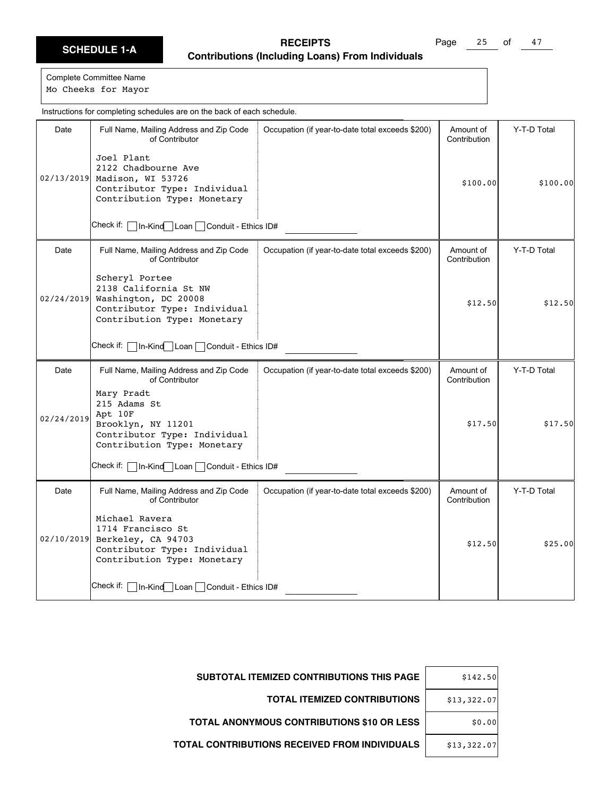Page  $25$  of  $47$ 

|            | Instructions for completing schedules are on the back of each schedule.                                                        |                                                  |                           |             |
|------------|--------------------------------------------------------------------------------------------------------------------------------|--------------------------------------------------|---------------------------|-------------|
| Date       | Full Name, Mailing Address and Zip Code<br>of Contributor                                                                      | Occupation (if year-to-date total exceeds \$200) | Amount of<br>Contribution | Y-T-D Total |
| 02/13/2019 | Joel Plant<br>2122 Chadbourne Ave<br>Madison, WI 53726<br>Contributor Type: Individual<br>Contribution Type: Monetary          |                                                  | \$100.00                  | \$100.00]   |
|            | Check if:   In-Kind   Loan   Conduit - Ethics ID#                                                                              |                                                  |                           |             |
| Date       | Full Name, Mailing Address and Zip Code<br>of Contributor                                                                      | Occupation (if year-to-date total exceeds \$200) | Amount of<br>Contribution | Y-T-D Total |
| 02/24/2019 | Scheryl Portee<br>2138 California St NW<br>Washington, DC 20008<br>Contributor Type: Individual<br>Contribution Type: Monetary |                                                  | \$12.50                   | \$12.50     |
|            | Check if:   In-Kind Loan   Conduit - Ethics ID#                                                                                |                                                  |                           |             |
| Date       | Full Name, Mailing Address and Zip Code<br>of Contributor                                                                      | Occupation (if year-to-date total exceeds \$200) | Amount of<br>Contribution | Y-T-D Total |
| 02/24/2019 | Mary Pradt<br>215 Adams St<br>Apt 10F<br>Brooklyn, NY 11201<br>Contributor Type: Individual<br>Contribution Type: Monetary     |                                                  | \$17.50                   | \$17.50     |
|            | Check if:   In-Kind   Loan   Conduit - Ethics ID#                                                                              |                                                  |                           |             |
| Date       | Full Name, Mailing Address and Zip Code<br>of Contributor                                                                      | Occupation (if year-to-date total exceeds \$200) | Amount of<br>Contribution | Y-T-D Total |
| 02/10/2019 | Michael Ravera<br>1714 Francisco St<br>Berkeley, CA 94703<br>Contributor Type: Individual<br>Contribution Type: Monetary       |                                                  | \$12.50                   | \$25.00     |
|            | Check if:   In-Kind   Loan   Conduit - Ethics ID#                                                                              |                                                  |                           |             |

| \$142.50    | <b>SUBTOTAL ITEMIZED CONTRIBUTIONS THIS PAGE</b>     |
|-------------|------------------------------------------------------|
| \$13,322.07 | <b>TOTAL ITEMIZED CONTRIBUTIONS</b>                  |
| \$0.00      | TOTAL ANONYMOUS CONTRIBUTIONS \$10 OR LESS           |
| \$13,322.07 | <b>TOTAL CONTRIBUTIONS RECEIVED FROM INDIVIDUALS</b> |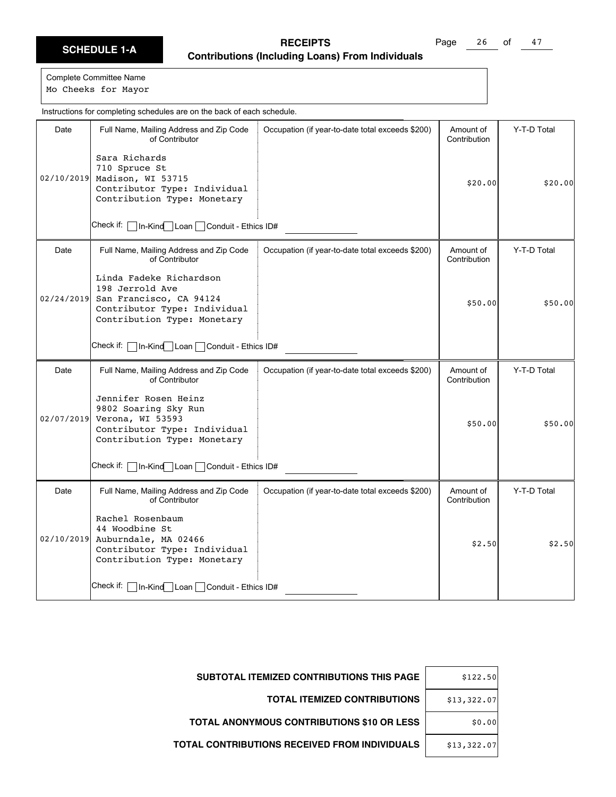Page 26 of 47

Complete Committee Name Mo Cheeks for Mayor

Date | Full Name, Mailing Address and Zip Code of Contributor Check if: In-Kind Loan Conduit - Ethics ID# Occupation (if year-to-date total exceeds \$200) | Amount of Contribution Y-T-D Total 02/10/2019 Madison, WI 53715 Sara Richards 710 Spruce St Contributor Type: Individual Contribution Type: Monetary  $$20.00$   $$20.00$ Date Full Name, Mailing Address and Zip Code of Contributor Check if: | In-Kind Loan | Conduit - Ethics ID# Occupation (if year-to-date total exceeds \$200) | Amount of Contribution Y-T-D Total 02/24/2019 Linda Fadeke Richardson 198 Jerrold Ave San Francisco, CA 94124 Contributor Type: Individual Contribution Type: Monetary \$50.00 \$50.00 Date | Full Name, Mailing Address and Zip Code of Contributor Check if: | In-Kind Loan | Conduit - Ethics ID# Occupation (if year-to-date total exceeds \$200) | Amount of Contribution Y-T-D Total 02/07/2019 Jennifer Rosen Heinz 9802 Soaring Sky Run Verona, WI 53593 Contributor Type: Individual Contribution Type: Monetary \$50.00 \$50.00 Date | Full Name, Mailing Address and Zip Code of Contributor Check if: In-Kind Loan Conduit - Ethics ID# Occupation (if year-to-date total exceeds \$200) | Amount of Contribution Y-T-D Total 02/10/2019 Auburndale, MA 02466 Rachel Rosenbaum 44 Woodbine St Contributor Type: Individual Contribution Type: Monetary  $$2.50$   $$2.50$ Instructions for completing schedules are on the back of each schedule.

| \$122.50    | <b>SUBTOTAL ITEMIZED CONTRIBUTIONS THIS PAGE</b> |
|-------------|--------------------------------------------------|
| \$13,322.07 | <b>TOTAL ITEMIZED CONTRIBUTIONS</b>              |
| \$0.00      | TOTAL ANONYMOUS CONTRIBUTIONS \$10 OR LESS       |
| \$13,322.07 | TOTAL CONTRIBUTIONS RECEIVED FROM INDIVIDUALS    |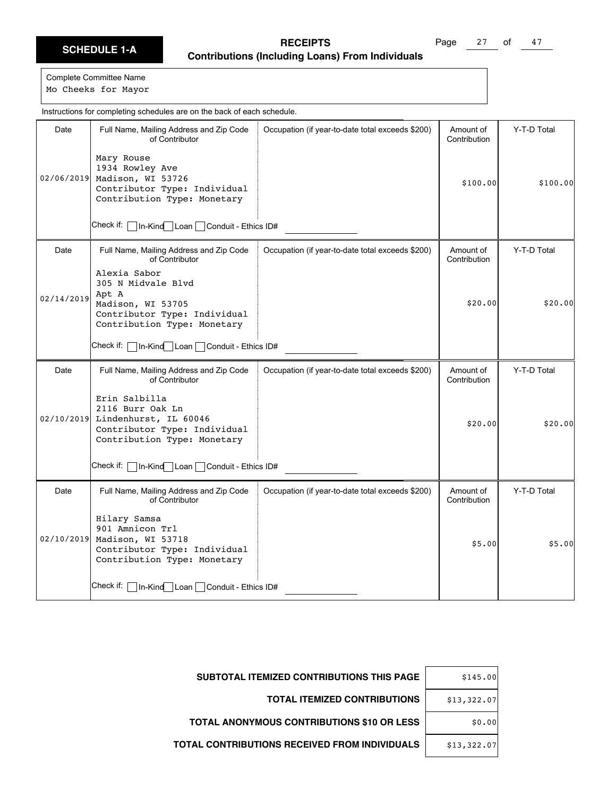Page 27 of 47

|            | Instructions for completing schedules are on the back of each schedule.                                                              |                                                  |                           |             |
|------------|--------------------------------------------------------------------------------------------------------------------------------------|--------------------------------------------------|---------------------------|-------------|
| Date       | Full Name, Mailing Address and Zip Code<br>of Contributor<br>Mary Rouse                                                              | Occupation (if year-to-date total exceeds \$200) | Amount of<br>Contribution | Y-T-D Total |
| 02/06/2019 | 1934 Rowley Ave<br>Madison, WI 53726<br>Contributor Type: Individual<br>Contribution Type: Monetary                                  |                                                  | \$100.00                  | \$100.00    |
|            | Check if: [<br>In-Kind Loan Conduit - Ethics ID#                                                                                     |                                                  |                           |             |
| Date       | Full Name, Mailing Address and Zip Code<br>of Contributor                                                                            | Occupation (if year-to-date total exceeds \$200) | Amount of<br>Contribution | Y-T-D Total |
| 02/14/2019 | Alexia Sabor<br>305 N Midvale Blvd<br>Apt A<br>Madison, WI 53705<br>Contributor Type: Individual<br>Contribution Type: Monetary      |                                                  | \$20.00                   | \$20.00     |
|            | Check if:   In-Kind Loan   Conduit - Ethics ID#                                                                                      |                                                  |                           |             |
| Date       | Full Name, Mailing Address and Zip Code<br>of Contributor                                                                            | Occupation (if year-to-date total exceeds \$200) | Amount of<br>Contribution | Y-T-D Total |
|            | Erin Salbilla<br>2116 Burr Oak Ln<br>02/10/2019 Lindenhurst, IL 60046<br>Contributor Type: Individual<br>Contribution Type: Monetary |                                                  | \$20.00                   | \$20.00     |
|            | Check if:   In-Kind Loan   Conduit - Ethics ID#                                                                                      |                                                  |                           |             |
| Date       | Full Name, Mailing Address and Zip Code<br>of Contributor                                                                            | Occupation (if year-to-date total exceeds \$200) | Amount of<br>Contribution | Y-T-D Total |
| 02/10/2019 | Hilary Samsa<br>901 Amnicon Trl<br>Madison, WI 53718<br>Contributor Type: Individual<br>Contribution Type: Monetary                  |                                                  | \$5.00                    | \$5.00      |
|            | Check if: Γ<br>  In-Kind Loan   Conduit - Ethics ID#                                                                                 |                                                  |                           |             |

| \$145.00    | SUBTOTAL ITEMIZED CONTRIBUTIONS THIS PAGE            |
|-------------|------------------------------------------------------|
| \$13,322.07 | <b>TOTAL ITEMIZED CONTRIBUTIONS</b>                  |
| \$0.00      | TOTAL ANONYMOUS CONTRIBUTIONS \$10 OR LESS           |
| \$13,322.07 | <b>TOTAL CONTRIBUTIONS RECEIVED FROM INDIVIDUALS</b> |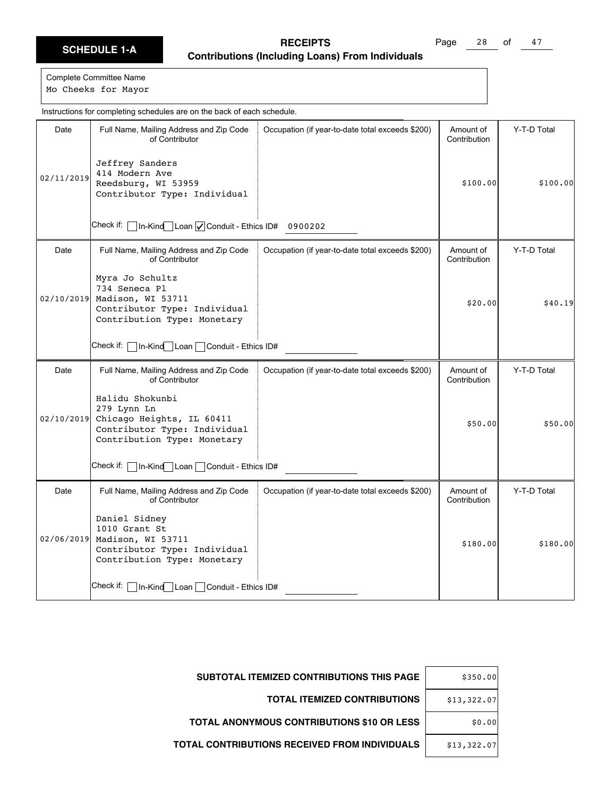Page 28 of 47

Complete Committee Name Mo Cheeks for Mayor

Date | Full Name, Mailing Address and Zip Code of Contributor Check if:  $\Box$  In-Kind $\Box$  Loan  $\Box$  Conduit - Ethics ID# 0900202 Occupation (if year-to-date total exceeds \$200) | Amount of Contribution Y-T-D Total 02/11/2019 Jeffrey Sanders 414 Modern Ave Reedsburg, WI 53959 Contributor Type: Individual \$100.00 \$100.00 Date | Full Name, Mailing Address and Zip Code of Contributor Check if: | In-Kind Loan | Conduit - Ethics ID# Occupation (if year-to-date total exceeds \$200) | Amount of Contribution Y-T-D Total 02/10/2019 Myra Jo Schultz 734 Seneca Pl Madison, WI 53711 Contributor Type: Individual Contribution Type: Monetary  $$20.00$   $$40.19$ Date | Full Name, Mailing Address and Zip Code of Contributor Check if: | In-Kind Loan | Conduit - Ethics ID# Occupation (if year-to-date total exceeds \$200) | Amount of Contribution Y-T-D Total 02/10/2019 Halidu Shokunbi 279 Lynn Ln Chicago Heights, IL 60411 Contributor Type: Individual Contribution Type: Monetary \$50.00 \$50.00 Date | Full Name, Mailing Address and Zip Code of Contributor Check if: In-Kind Loan Conduit - Ethics ID# Occupation (if year-to-date total exceeds \$200) | Amount of Contribution Y-T-D Total 02/06/2019 Daniel Sidney 1010 Grant St Madison, WI 53711 Contributor Type: Individual Contribution Type: Monetary \$180.00 \$180.00 Instructions for completing schedules are on the back of each schedule.

| \$350.00    | SUBTOTAL ITEMIZED CONTRIBUTIONS THIS PAGE         |
|-------------|---------------------------------------------------|
| \$13,322.07 | <b>TOTAL ITEMIZED CONTRIBUTIONS</b>               |
| \$0.00      | <b>TOTAL ANONYMOUS CONTRIBUTIONS \$10 OR LESS</b> |
| \$13,322.07 | TOTAL CONTRIBUTIONS RECEIVED FROM INDIVIDUALS     |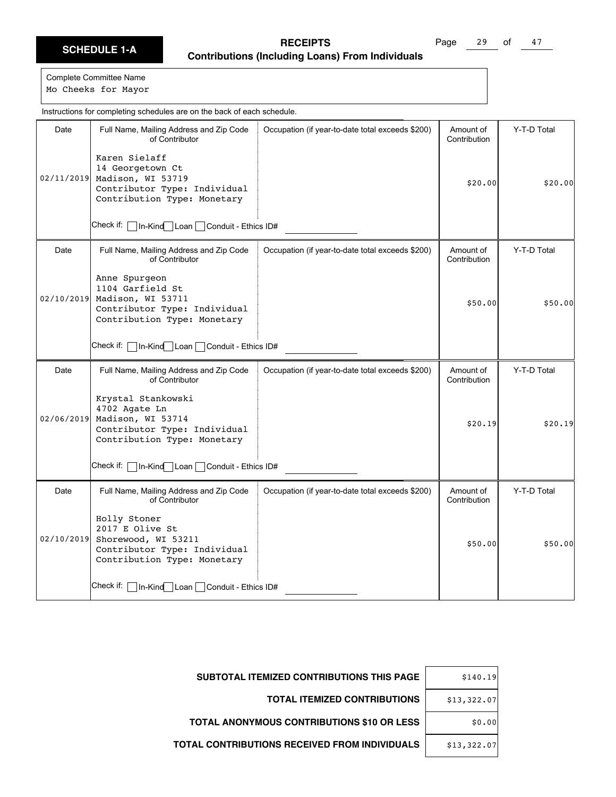Page 29 of 47

Complete Committee Name

Mo Cheeks for Mayor

|            | Instructions for completing schedules are on the back of each schedule.                                                          |                                                  |                           |             |
|------------|----------------------------------------------------------------------------------------------------------------------------------|--------------------------------------------------|---------------------------|-------------|
| Date       | Full Name, Mailing Address and Zip Code<br>of Contributor                                                                        | Occupation (if year-to-date total exceeds \$200) | Amount of<br>Contribution | Y-T-D Total |
|            | Karen Sielaff<br>14 Georgetown Ct<br>02/11/2019 Madison, WI 53719<br>Contributor Type: Individual<br>Contribution Type: Monetary |                                                  | \$20.00                   | \$20.00     |
|            | Check if:<br>In-Kind Loan Conduit - Ethics ID#                                                                                   |                                                  |                           |             |
| Date       | Full Name, Mailing Address and Zip Code<br>of Contributor                                                                        | Occupation (if year-to-date total exceeds \$200) | Amount of<br>Contribution | Y-T-D Total |
| 02/10/2019 | Anne Spurgeon<br>1104 Garfield St<br>Madison, WI 53711<br>Contributor Type: Individual<br>Contribution Type: Monetary            |                                                  | \$50.00                   | \$50.00     |
|            | Check if:   In-Kind Loan   Conduit - Ethics ID#                                                                                  |                                                  |                           |             |
| Date       | Full Name, Mailing Address and Zip Code<br>of Contributor                                                                        | Occupation (if year-to-date total exceeds \$200) | Amount of<br>Contribution | Y-T-D Total |
| 02/06/2019 | Krystal Stankowski<br>4702 Agate Ln<br>Madison, WI 53714<br>Contributor Type: Individual<br>Contribution Type: Monetary          |                                                  | \$20.19                   | \$20.19     |
|            | Check if:   In-Kind Loan   Conduit - Ethics ID#                                                                                  |                                                  |                           |             |
| Date       | Full Name, Mailing Address and Zip Code<br>of Contributor                                                                        | Occupation (if year-to-date total exceeds \$200) | Amount of<br>Contribution | Y-T-D Total |
| 02/10/2019 | Holly Stoner<br>2017 E Olive St<br>Shorewood, WI 53211<br>Contributor Type: Individual<br>Contribution Type: Monetary            |                                                  | \$50.00                   | \$50.00     |
|            | Check if:   In-Kind Loan   Conduit - Ethics ID#                                                                                  |                                                  |                           |             |

| \$140.19    | SUBTOTAL ITEMIZED CONTRIBUTIONS THIS PAGE            |
|-------------|------------------------------------------------------|
| \$13,322.07 | <b>TOTAL ITEMIZED CONTRIBUTIONS</b>                  |
| \$0.00      | <b>TOTAL ANONYMOUS CONTRIBUTIONS \$10 OR LESS</b>    |
| \$13,322.07 | <b>TOTAL CONTRIBUTIONS RECEIVED FROM INDIVIDUALS</b> |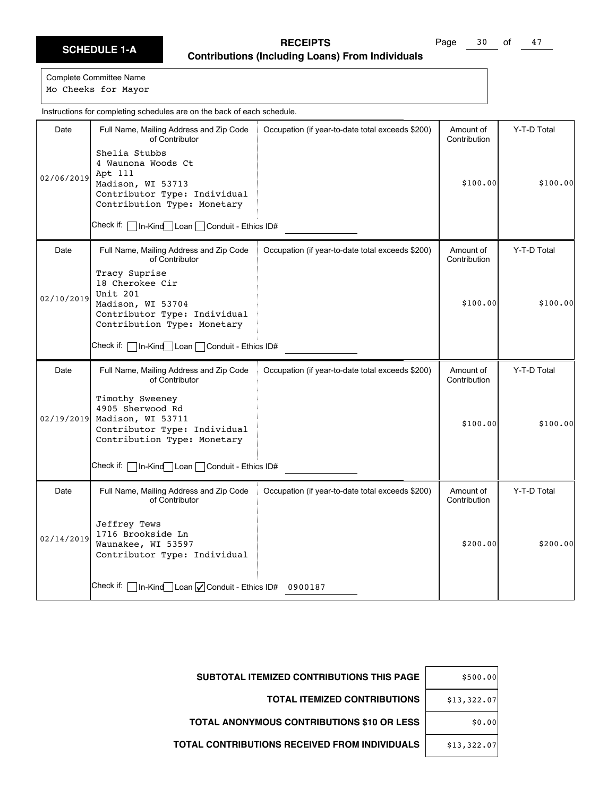Page 30 of 47

Complete Committee Name Mo Cheeks for Mayor

Date | Full Name, Mailing Address and Zip Code of Contributor Check if: In-Kind Loan Conduit - Ethics ID# Occupation (if year-to-date total exceeds \$200) | Amount of Contribution Y-T-D Total 02/06/2019 Shelia Stubbs 4 Waunona Woods Ct Apt 111 Madison, WI 53713 Contributor Type: Individual Contribution Type: Monetary \$100.00 \$100.00 Date | Full Name, Mailing Address and Zip Code of Contributor Check if: | In-Kind Loan | Conduit - Ethics ID# Occupation (if year-to-date total exceeds \$200) | Amount of Contribution Y-T-D Total 02/10/2019 Tracy Suprise 18 Cherokee Cir Unit 201 Madison, WI 53704 Contributor Type: Individual Contribution Type: Monetary  $$100.00$   $$100.00$ Date | Full Name, Mailing Address and Zip Code of Contributor Check if: | In-Kind Loan | Conduit - Ethics ID# Occupation (if year-to-date total exceeds \$200) | Amount of Contribution Y-T-D Total 02/19/2019 Timothy Sweeney 4905 Sherwood Rd Madison, WI 53711 Contributor Type: Individual Contribution Type: Monetary \$100.00 \$100.00 Date | Full Name, Mailing Address and Zip Code of Contributor Check if:  $\Box$  In-Kind $\Box$  Loan  $\Box$  Conduit - Ethics ID# 0900187 Occupation (if year-to-date total exceeds \$200) | Amount of Contribution Y-T-D Total 02/14/2019 Jeffrey Tews 1716 Brookside Ln Waunakee, WI 53597 Contributor Type: Individual \$200.00 \$200.00 Instructions for completing schedules are on the back of each schedule.

| \$500.00    | <b>SUBTOTAL ITEMIZED CONTRIBUTIONS THIS PAGE</b>  |
|-------------|---------------------------------------------------|
| \$13,322.07 | <b>TOTAL ITEMIZED CONTRIBUTIONS</b>               |
| \$0.00      | <b>TOTAL ANONYMOUS CONTRIBUTIONS \$10 OR LESS</b> |
| \$13,322.07 | TOTAL CONTRIBUTIONS RECEIVED FROM INDIVIDUALS     |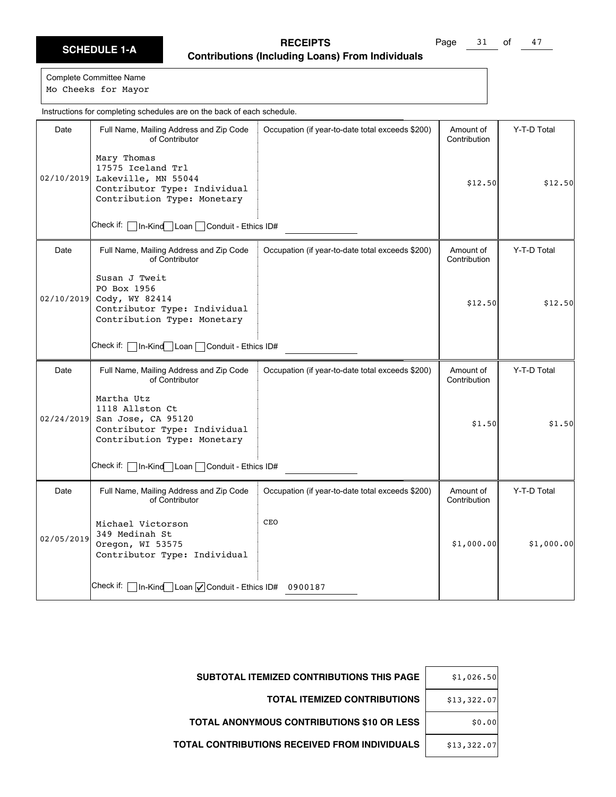Page 31 of 47

Complete Committee Name

Mo Cheeks for Mayor

|            | Instructions for completing schedules are on the back of each schedule.                                                |                                                  |                           |             |
|------------|------------------------------------------------------------------------------------------------------------------------|--------------------------------------------------|---------------------------|-------------|
| Date       | Full Name, Mailing Address and Zip Code<br>of Contributor                                                              | Occupation (if year-to-date total exceeds \$200) | Amount of<br>Contribution | Y-T-D Total |
| 02/10/2019 | Mary Thomas<br>17575 Iceland Trl<br>Lakeville, MN 55044<br>Contributor Type: Individual<br>Contribution Type: Monetary |                                                  | \$12.50                   | \$12.50     |
|            | Check if:<br>In-Kind   Loan   Conduit - Ethics ID#                                                                     |                                                  |                           |             |
| Date       | Full Name, Mailing Address and Zip Code<br>of Contributor                                                              | Occupation (if year-to-date total exceeds \$200) | Amount of<br>Contribution | Y-T-D Total |
| 02/10/2019 | Susan J Tweit<br>PO Box 1956<br>Cody, WY 82414<br>Contributor Type: Individual<br>Contribution Type: Monetary          |                                                  | \$12.50                   | \$12.50     |
|            | Check if:<br>In-Kind Loan Conduit - Ethics ID#                                                                         |                                                  |                           |             |
| Date       | Full Name, Mailing Address and Zip Code<br>of Contributor                                                              | Occupation (if year-to-date total exceeds \$200) | Amount of<br>Contribution | Y-T-D Total |
| 02/24/2019 | Martha Utz<br>1118 Allston Ct<br>San Jose, CA 95120<br>Contributor Type: Individual<br>Contribution Type: Monetary     |                                                  | \$1.50                    | \$1.50      |
|            | Check if: [<br>In-Kind Loan Conduit - Ethics ID#                                                                       |                                                  |                           |             |
| Date       | Full Name, Mailing Address and Zip Code<br>of Contributor                                                              | Occupation (if year-to-date total exceeds \$200) | Amount of<br>Contribution | Y-T-D Total |
| 02/05/2019 | Michael Victorson<br>349 Medinah St<br>Oregon, WI 53575<br>Contributor Type: Individual                                | CEO                                              | \$1,000.00                | \$1,000.00] |
|            | Check if: [<br>$\sqrt{\ln K}$ In-Kind Loan $\sqrt{\ln K}$ Conduit - Ethics ID#                                         | 0900187                                          |                           |             |

| <b>SUBTOTAL ITEMIZED CONTRIBUTIONS THIS PAGE</b>     | \$1,026.50  |
|------------------------------------------------------|-------------|
| <b>TOTAL ITEMIZED CONTRIBUTIONS</b>                  | \$13,322.07 |
| TOTAL ANONYMOUS CONTRIBUTIONS \$10 OR LESS           | \$0.00      |
| <b>TOTAL CONTRIBUTIONS RECEIVED FROM INDIVIDUALS</b> | \$13,322.07 |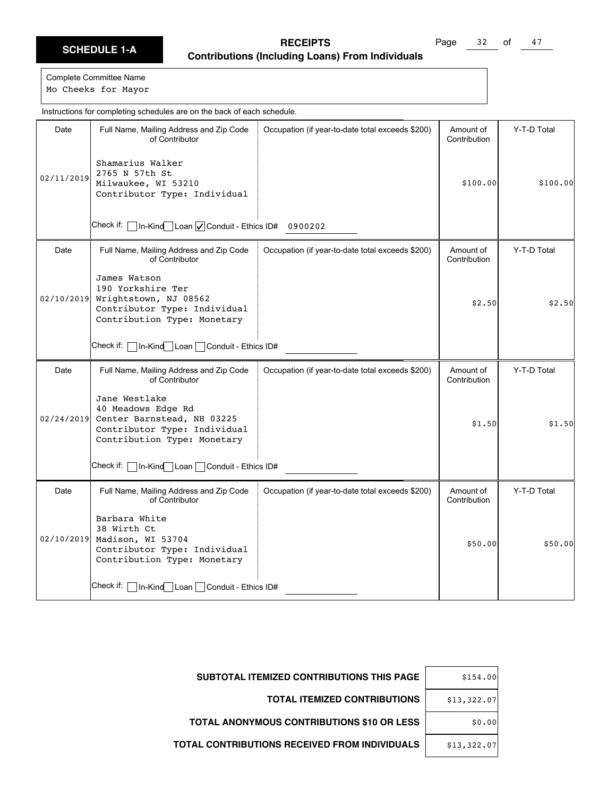Page 32 of 47

Complete Committee Name Mo Cheeks for Mayor

Date | Full Name, Mailing Address and Zip Code of Contributor Check if:  $\Box$  In-Kind $\Box$  Loan  $\Box$  Conduit - Ethics ID# 0900202 Occupation (if year-to-date total exceeds \$200) | Amount of Contribution Y-T-D Total 02/11/2019 Shamarius Walker 2765 N 57th St Milwaukee, WI 53210 Contributor Type: Individual \$100.00 \$100.00 Date | Full Name, Mailing Address and Zip Code of Contributor Check if: | In-Kind Loan | Conduit - Ethics ID# Occupation (if year-to-date total exceeds \$200) | Amount of Contribution Y-T-D Total 02/10/2019 James Watson 190 Yorkshire Ter Wrightstown, NJ 08562 Contributor Type: Individual Contribution Type: Monetary  $$2.50$   $$2.50$ Date | Full Name, Mailing Address and Zip Code of Contributor Check if: | In-Kind Loan | Conduit - Ethics ID# Occupation (if year-to-date total exceeds \$200) | Amount of Contribution Y-T-D Total 02/24/2019 Jane Westlake 40 Meadows Edge Rd Center Barnstead, NH 03225 Contributor Type: Individual Contribution Type: Monetary  $$1.50$   $$1.50$ Date | Full Name, Mailing Address and Zip Code of Contributor Check if: In-Kind Loan Conduit - Ethics ID# Occupation (if year-to-date total exceeds \$200) | Amount of Contribution Y-T-D Total 02/10/2019 Madison, WI 53704 Barbara White 38 Wirth Ct Contributor Type: Individual Contribution Type: Monetary \$50.00 \$50.00 Instructions for completing schedules are on the back of each schedule.

| \$154.00    | SUBTOTAL ITEMIZED CONTRIBUTIONS THIS PAGE         |
|-------------|---------------------------------------------------|
| \$13,322.07 | <b>TOTAL ITEMIZED CONTRIBUTIONS</b>               |
| \$0.00      | <b>TOTAL ANONYMOUS CONTRIBUTIONS \$10 OR LESS</b> |
| \$13,322.07 | TOTAL CONTRIBUTIONS RECEIVED FROM INDIVIDUALS     |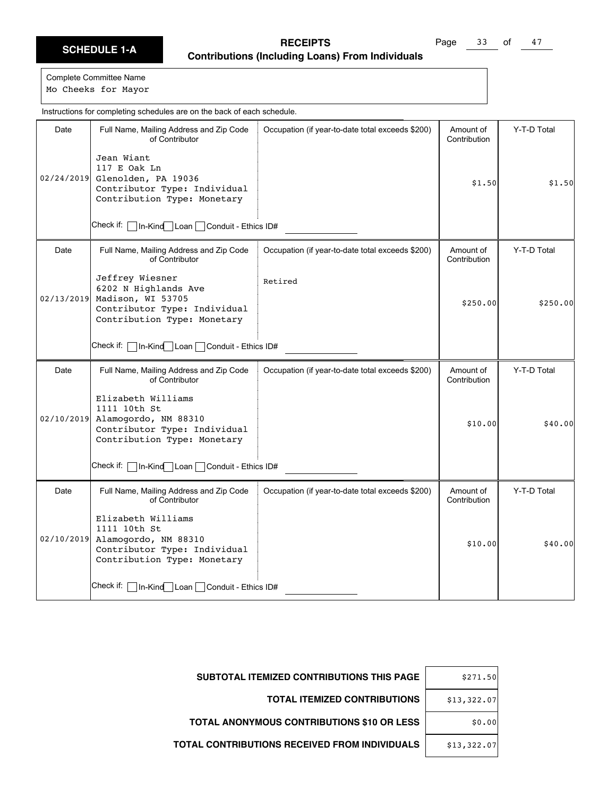Page 33 of 47

Complete Committee Name Mo Cheeks for Mayor

Date | Full Name, Mailing Address and Zip Code of Contributor Check if: In-Kind Loan Conduit - Ethics ID# Occupation (if year-to-date total exceeds \$200) | Amount of Contribution Y-T-D Total 02/24/2019 Glenolden, PA 19036 Jean Wiant 117 E Oak Ln Contributor Type: Individual Contribution Type: Monetary  $$1.50$   $$1.50$ Date | Full Name, Mailing Address and Zip Code of Contributor Check if: | In-Kind Loan | Conduit - Ethics ID# Occupation (if year-to-date total exceeds \$200) | Amount of Contribution Y-T-D Total 02/13/2019 Jeffrey Wiesner 6202 N Highlands Ave Madison, WI 53705 Contributor Type: Individual Contribution Type: Monetary Retired  $$250.00$   $$250.00$ Date | Full Name, Mailing Address and Zip Code of Contributor Check if: | In-Kind Loan | Conduit - Ethics ID# Occupation (if year-to-date total exceeds \$200) | Amount of Contribution Y-T-D Total 02/10/2019 Elizabeth Williams 1111 10th St Alamogordo, NM 88310 Contributor Type: Individual Contribution Type: Monetary \$10.00 \$40.00 Date | Full Name, Mailing Address and Zip Code of Contributor Check if: | In-Kind Loan | Conduit - Ethics ID# Occupation (if year-to-date total exceeds \$200) | Amount of Contribution Y-T-D Total 02/10/2019 Alamogordo, NM 88310 Elizabeth Williams 1111 10th St Contributor Type: Individual Contribution Type: Monetary  $$10.00$   $$40.00$ Instructions for completing schedules are on the back of each schedule.

| \$271.50    | SUBTOTAL ITEMIZED CONTRIBUTIONS THIS PAGE            |
|-------------|------------------------------------------------------|
| \$13,322.07 | <b>TOTAL ITEMIZED CONTRIBUTIONS</b>                  |
| \$0.00      | <b>TOTAL ANONYMOUS CONTRIBUTIONS \$10 OR LESS</b>    |
| \$13,322.07 | <b>TOTAL CONTRIBUTIONS RECEIVED FROM INDIVIDUALS</b> |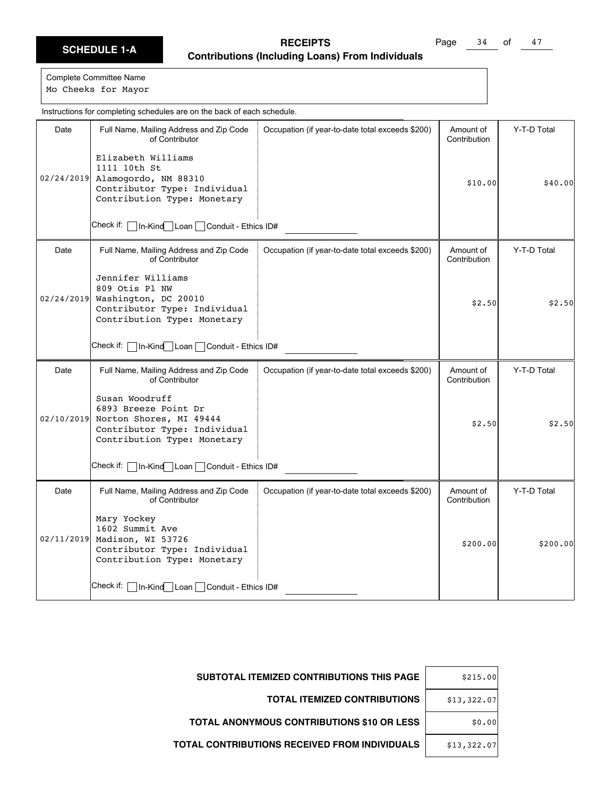Page 34 of 47

|            | Instructions for completing schedules are on the back of each schedule.                                                              |                                                  |                           |             |
|------------|--------------------------------------------------------------------------------------------------------------------------------------|--------------------------------------------------|---------------------------|-------------|
| Date       | Full Name, Mailing Address and Zip Code<br>of Contributor                                                                            | Occupation (if year-to-date total exceeds \$200) | Amount of<br>Contribution | Y-T-D Total |
|            | Elizabeth Williams<br>1111 10th St<br>02/24/2019 Alamogordo, NM 88310<br>Contributor Type: Individual<br>Contribution Type: Monetary |                                                  | \$10.00                   | \$40.00     |
|            | Check if:<br> In-Kind Loan Conduit - Ethics ID#                                                                                      |                                                  |                           |             |
| Date       | Full Name, Mailing Address and Zip Code<br>of Contributor                                                                            | Occupation (if year-to-date total exceeds \$200) | Amount of<br>Contribution | Y-T-D Total |
| 02/24/2019 | Jennifer Williams<br>809 Otis Pl NW<br>Washington, DC 20010<br>Contributor Type: Individual<br>Contribution Type: Monetary           |                                                  | \$2.50                    | \$2.50      |
|            | Check if:   In-Kind Loan   Conduit - Ethics ID#                                                                                      |                                                  |                           |             |
| Date       | Full Name, Mailing Address and Zip Code<br>of Contributor                                                                            | Occupation (if year-to-date total exceeds \$200) | Amount of<br>Contribution | Y-T-D Total |
| 02/10/2019 | Susan Woodruff<br>6893 Breeze Point Dr<br>Norton Shores, MI 49444<br>Contributor Type: Individual<br>Contribution Type: Monetary     |                                                  | \$2.50                    | \$2.50      |
|            | Check if:   In-Kind Loan   Conduit - Ethics ID#                                                                                      |                                                  |                           |             |
| Date       | Full Name, Mailing Address and Zip Code<br>of Contributor                                                                            | Occupation (if year-to-date total exceeds \$200) | Amount of<br>Contribution | Y-T-D Total |
| 02/11/2019 | Mary Yockey<br>1602 Summit Ave<br>Madison, WI 53726<br>Contributor Type: Individual<br>Contribution Type: Monetary                   |                                                  | \$200.00]                 | \$200.00]   |
|            | Check if:   In-Kind Loan   Conduit - Ethics ID#                                                                                      |                                                  |                           |             |

| \$215.00    | <b>SUBTOTAL ITEMIZED CONTRIBUTIONS THIS PAGE</b>     |
|-------------|------------------------------------------------------|
| \$13,322.07 | <b>TOTAL ITEMIZED CONTRIBUTIONS</b>                  |
| \$0.00      | <b>TOTAL ANONYMOUS CONTRIBUTIONS \$10 OR LESS</b>    |
| \$13,322.07 | <b>TOTAL CONTRIBUTIONS RECEIVED FROM INDIVIDUALS</b> |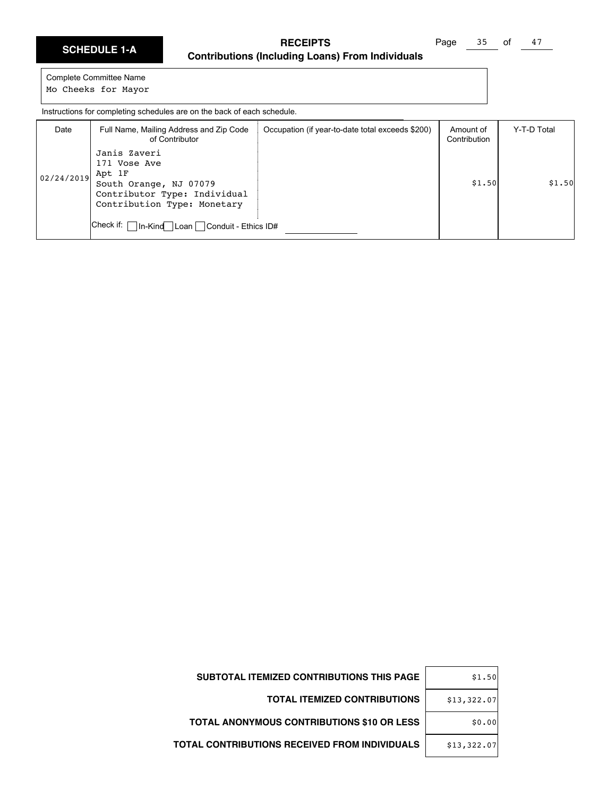|  |  | <b>SCHEDULE 1-A</b> |
|--|--|---------------------|
|  |  |                     |

Page 35 of 47

Complete Committee Name Mo Cheeks for Mayor

Instructions for completing schedules are on the back of each schedule.

| Date       | Full Name, Mailing Address and Zip Code<br>of Contributor                                                                                                                            | Occupation (if year-to-date total exceeds \$200) | Amount of<br>Contribution | Y-T-D Total |
|------------|--------------------------------------------------------------------------------------------------------------------------------------------------------------------------------------|--------------------------------------------------|---------------------------|-------------|
| 02/24/2019 | Janis Zaveri<br>171 Vose Ave<br>Apt 1F<br>South Orange, NJ 07079<br>Contributor Type: Individual<br>Contribution Type: Monetary<br>Check if:   In-Kind   Loan   Conduit - Ethics ID# |                                                  | \$1.50                    | \$1.50      |

| \$1.50      | SUBTOTAL ITEMIZED CONTRIBUTIONS THIS PAGE         |
|-------------|---------------------------------------------------|
| \$13,322.07 | <b>TOTAL ITEMIZED CONTRIBUTIONS</b>               |
| \$0.00      | <b>TOTAL ANONYMOUS CONTRIBUTIONS \$10 OR LESS</b> |
| \$13,322.07 | TOTAL CONTRIBUTIONS RECEIVED FROM INDIVIDUALS     |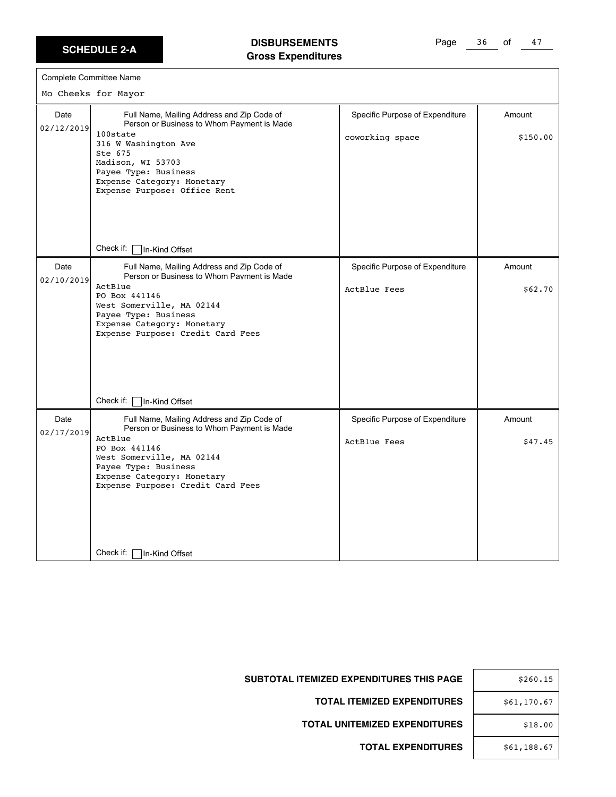#### **DISBURSEMENTS Gross Expenditures**

Page 36 of 47

| Complete Committee Name |                                                                                                                                                                                                                                                    |                                                        |                    |
|-------------------------|----------------------------------------------------------------------------------------------------------------------------------------------------------------------------------------------------------------------------------------------------|--------------------------------------------------------|--------------------|
|                         | Mo Cheeks for Mayor                                                                                                                                                                                                                                |                                                        |                    |
| Date<br>02/12/2019      | Full Name, Mailing Address and Zip Code of<br>Person or Business to Whom Payment is Made<br>100state<br>316 W Washington Ave<br>Ste 675<br>Madison, WI 53703<br>Payee Type: Business<br>Expense Category: Monetary<br>Expense Purpose: Office Rent | Specific Purpose of Expenditure<br>coworking space     | Amount<br>\$150.00 |
|                         | Check if:<br>In-Kind Offset                                                                                                                                                                                                                        |                                                        |                    |
| Date<br>02/10/2019      | Full Name, Mailing Address and Zip Code of<br>Person or Business to Whom Payment is Made<br>ActBlue<br>PO Box 441146<br>West Somerville, MA 02144<br>Payee Type: Business<br>Expense Category: Monetary<br>Expense Purpose: Credit Card Fees       | Specific Purpose of Expenditure<br>ActBlue Fees        | Amount<br>\$62.70  |
|                         | Check if:<br>In-Kind Offset                                                                                                                                                                                                                        |                                                        |                    |
| Date<br>02/17/2019      | Full Name, Mailing Address and Zip Code of<br>Person or Business to Whom Payment is Made<br>ActBlue<br>PO Box 441146<br>West Somerville, MA 02144<br>Payee Type: Business<br>Expense Category: Monetary<br>Expense Purpose: Credit Card Fees       | Specific Purpose of Expenditure<br><b>ActBlue Fees</b> | Amount<br>\$47.45  |
|                         | Check if:<br>In-Kind Offset                                                                                                                                                                                                                        |                                                        |                    |

| \$260.15    |
|-------------|
| \$61,170.67 |
| \$18.00     |
| \$61,188.67 |

**SUBTOTAL ITEMIZED EXPENDITURES THIS PAGE** 

**TOTAL ITEMIZED EXPENDITURES** 

**TOTAL UNITEMIZED EXPENDITURES**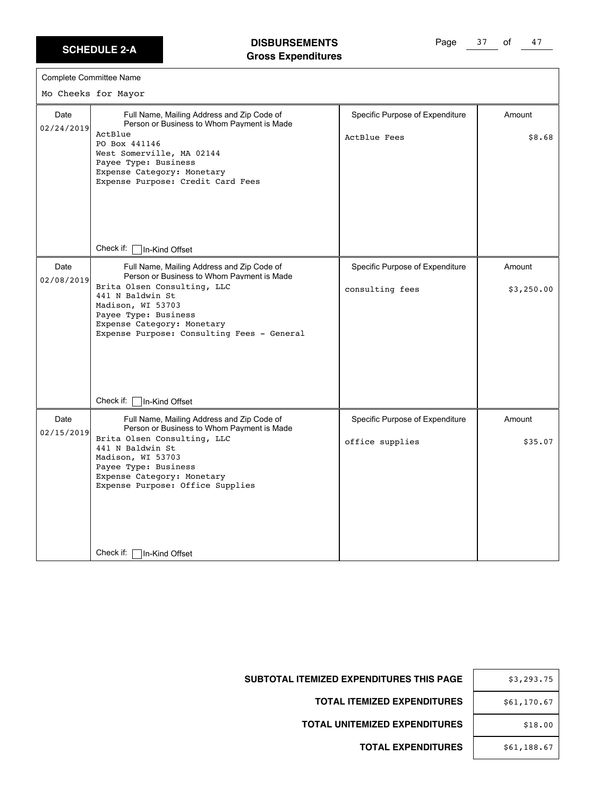$\Gamma$ 

#### **DISBURSEMENTS Gross Expenditures**

Page 37 of 47

|                    | Complete Committee Name                                                                                                                                                                                                                                                                                                    |                                                        |                      |
|--------------------|----------------------------------------------------------------------------------------------------------------------------------------------------------------------------------------------------------------------------------------------------------------------------------------------------------------------------|--------------------------------------------------------|----------------------|
|                    | Mo Cheeks for Mayor                                                                                                                                                                                                                                                                                                        |                                                        |                      |
| Date<br>02/24/2019 | Full Name, Mailing Address and Zip Code of<br>Person or Business to Whom Payment is Made<br>ActBlue<br>PO Box 441146<br>West Somerville, MA 02144<br>Payee Type: Business<br>Expense Category: Monetary<br>Expense Purpose: Credit Card Fees                                                                               | Specific Purpose of Expenditure<br><b>ActBlue Fees</b> | Amount<br>\$8.68     |
|                    | Check if:<br>In-Kind Offset                                                                                                                                                                                                                                                                                                |                                                        |                      |
| Date<br>02/08/2019 | Full Name, Mailing Address and Zip Code of<br>Person or Business to Whom Payment is Made<br>Brita Olsen Consulting, LLC<br>441 N Baldwin St<br>Madison, WI 53703<br>Payee Type: Business<br>Expense Category: Monetary<br>Expense Purpose: Consulting Fees - General                                                       | Specific Purpose of Expenditure<br>consulting fees     | Amount<br>\$3,250.00 |
| Date<br>02/15/2019 | Check if:<br>In-Kind Offset<br>Full Name, Mailing Address and Zip Code of<br>Person or Business to Whom Payment is Made<br>Brita Olsen Consulting, LLC<br>441 N Baldwin St<br>Madison, WI 53703<br>Payee Type: Business<br>Expense Category: Monetary<br>Expense Purpose: Office Supplies<br>Check if:  <br>In-Kind Offset | Specific Purpose of Expenditure<br>office supplies     | Amount<br>\$35.07    |

| \$3,293.75  |  |
|-------------|--|
| \$61,170.67 |  |
| \$18.00     |  |
| \$61,188.67 |  |

**SUBTOTAL ITEMIZED EXPENDITURES THIS PAGE** 

**TOTAL ITEMIZED EXPENDITURES** 

**TOTAL UNITEMIZED EXPENDITURES**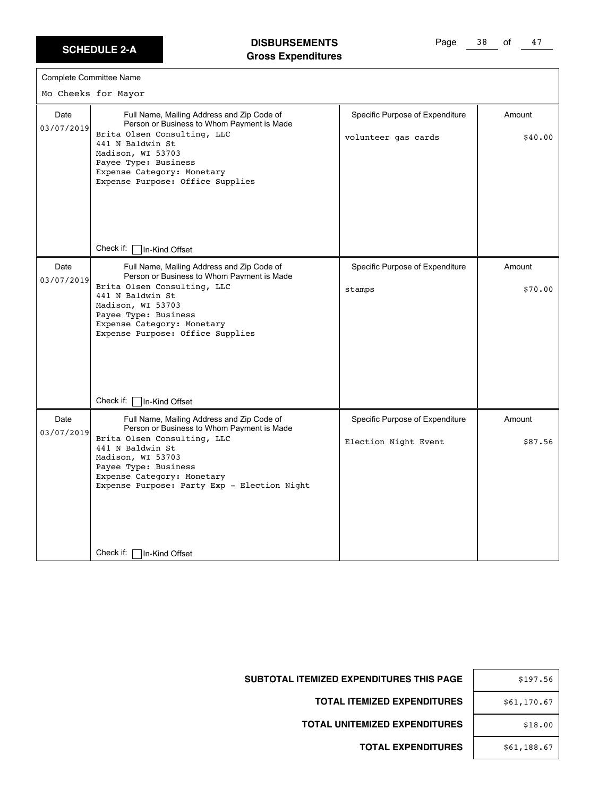#### **DISBURSEMENTS Gross Expenditures**

Page 38 of 47

| Person or Business to Whom Payment is Made<br>Brita Olsen Consulting, LLC<br>441 N Baldwin St                                                                                                                                                                         |                                                         |                   |
|-----------------------------------------------------------------------------------------------------------------------------------------------------------------------------------------------------------------------------------------------------------------------|---------------------------------------------------------|-------------------|
| Madison, WI 53703<br>Payee Type: Business<br>Expense Category: Monetary<br>Expense Purpose: Office Supplies                                                                                                                                                           | volunteer gas cards                                     | \$40.00           |
| Check if:   In-Kind Offset                                                                                                                                                                                                                                            |                                                         |                   |
| Full Name, Mailing Address and Zip Code of<br>Person or Business to Whom Payment is Made<br>Brita Olsen Consulting, LLC<br>441 N Baldwin St<br>Madison, WI 53703<br>Payee Type: Business<br>Expense Category: Monetary<br>Expense Purpose: Office Supplies            | Specific Purpose of Expenditure<br>stamps               | Amount<br>\$70.00 |
| Check if:<br>In-Kind Offset                                                                                                                                                                                                                                           |                                                         |                   |
| Full Name, Mailing Address and Zip Code of<br>Person or Business to Whom Payment is Made<br>Brita Olsen Consulting, LLC<br>441 N Baldwin St<br>Madison, WI 53703<br>Payee Type: Business<br>Expense Category: Monetary<br>Expense Purpose: Party Exp - Election Night | Specific Purpose of Expenditure<br>Election Night Event | Amount<br>\$87.56 |
|                                                                                                                                                                                                                                                                       |                                                         |                   |

|   | \$197.56    |
|---|-------------|
| 3 | \$61,170.67 |
| S | \$18.00     |
| S | \$61,188.67 |

**SUBTOTAL ITEMIZED EXPENDITURES THIS PAGE** 

**TOTAL ITEMIZED EXPENDITURES** 

**TOTAL UNITEMIZED EXPENDITURES**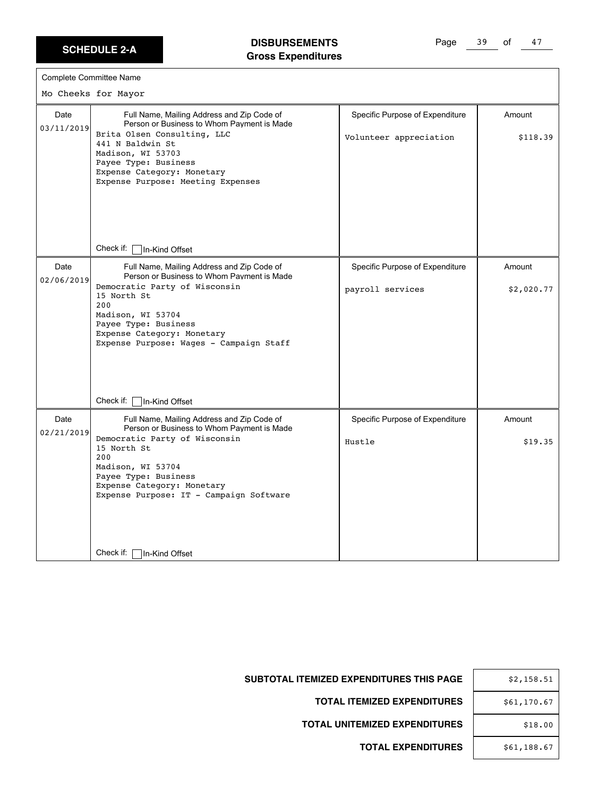#### **DISBURSEMENTS Gross Expenditures**

Page 39 of 47

| Complete Committee Name |  |
|-------------------------|--|
| Mo Cheeks for Mayor     |  |
|                         |  |

| Date<br>03/11/2019 | Full Name, Mailing Address and Zip Code of<br>Person or Business to Whom Payment is Made<br>Brita Olsen Consulting, LLC<br>441 N Baldwin St<br>Madison, WI 53703<br>Payee Type: Business<br>Expense Category: Monetary<br>Expense Purpose: Meeting Expenses | Specific Purpose of Expenditure<br>Volunteer appreciation | Amount<br>\$118.39 |
|--------------------|-------------------------------------------------------------------------------------------------------------------------------------------------------------------------------------------------------------------------------------------------------------|-----------------------------------------------------------|--------------------|
|                    | Check if:<br>In-Kind Offset                                                                                                                                                                                                                                 |                                                           |                    |
| Date               | Full Name, Mailing Address and Zip Code of<br>Person or Business to Whom Payment is Made                                                                                                                                                                    | Specific Purpose of Expenditure                           | Amount             |
| 02/06/2019         | Democratic Party of Wisconsin<br>15 North St<br>200<br>Madison, WI 53704<br>Payee Type: Business<br>Expense Category: Monetary<br>Expense Purpose: Wages - Campaign Staff<br>Check if:<br>In-Kind Offset                                                    | payroll services                                          | \$2,020.77         |
| Date               | Full Name, Mailing Address and Zip Code of                                                                                                                                                                                                                  | Specific Purpose of Expenditure                           | Amount             |
| 02/21/2019         | Person or Business to Whom Payment is Made<br>Democratic Party of Wisconsin<br>15 North St<br>200<br>Madison, WI 53704<br>Payee Type: Business<br>Expense Category: Monetary<br>Expense Purpose: IT - Campaign Software                                     | Hustle                                                    | \$19.35            |
|                    | Check if:<br>In-Kind Offset                                                                                                                                                                                                                                 |                                                           |                    |

| \$2,158.51  |
|-------------|
| \$61,170.67 |
| \$18.00     |
| \$61,188.67 |

**SUBTOTAL ITEMIZED EXPENDITURES THIS PAGE** 

**TOTAL ITEMIZED EXPENDITURES** 

**TOTAL UNITEMIZED EXPENDITURES**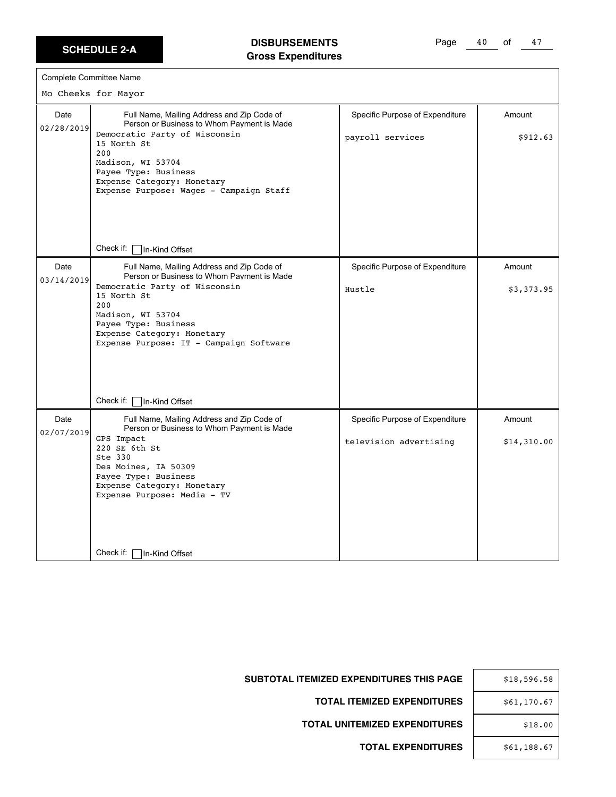# **DISBURSEMENTS Gross Expenditures**

Page 40 of 47

|                    | Complete Committee Name                                                                                                                                                                                                                                               |                                                           |                       |
|--------------------|-----------------------------------------------------------------------------------------------------------------------------------------------------------------------------------------------------------------------------------------------------------------------|-----------------------------------------------------------|-----------------------|
|                    | Mo Cheeks for Mayor                                                                                                                                                                                                                                                   |                                                           |                       |
| Date<br>02/28/2019 | Full Name, Mailing Address and Zip Code of<br>Person or Business to Whom Payment is Made<br>Democratic Party of Wisconsin<br>15 North St<br>200<br>Madison, WI 53704<br>Payee Type: Business<br>Expense Category: Monetary<br>Expense Purpose: Wages - Campaign Staff | Specific Purpose of Expenditure<br>payroll services       | Amount<br>\$912.63    |
|                    | Check if: $\lceil$<br>In-Kind Offset                                                                                                                                                                                                                                  |                                                           |                       |
| Date<br>03/14/2019 | Full Name, Mailing Address and Zip Code of<br>Person or Business to Whom Payment is Made<br>Democratic Party of Wisconsin<br>15 North St<br>200<br>Madison, WI 53704<br>Payee Type: Business<br>Expense Category: Monetary<br>Expense Purpose: IT - Campaign Software | Specific Purpose of Expenditure<br>Hustle                 | Amount<br>\$3,373.95  |
|                    | Check if:<br>In-Kind Offset                                                                                                                                                                                                                                           |                                                           |                       |
| Date<br>02/07/2019 | Full Name, Mailing Address and Zip Code of<br>Person or Business to Whom Payment is Made<br>GPS Impact<br>220 SE 6th St<br>Ste 330<br>Des Moines, IA 50309<br>Payee Type: Business<br>Expense Category: Monetary<br>Expense Purpose: Media - TV                       | Specific Purpose of Expenditure<br>television advertising | Amount<br>\$14,310.00 |
|                    | Check if:  <br>In-Kind Offset                                                                                                                                                                                                                                         |                                                           |                       |

| \$18,596.58 |
|-------------|
| \$61,170.67 |
| \$18.00     |
| \$61,188.67 |

**SUBTOTAL ITEMIZED EXPENDITURES THIS PAGE** 

**TOTAL ITEMIZED EXPENDITURES** 

**TOTAL UNITEMIZED EXPENDITURES**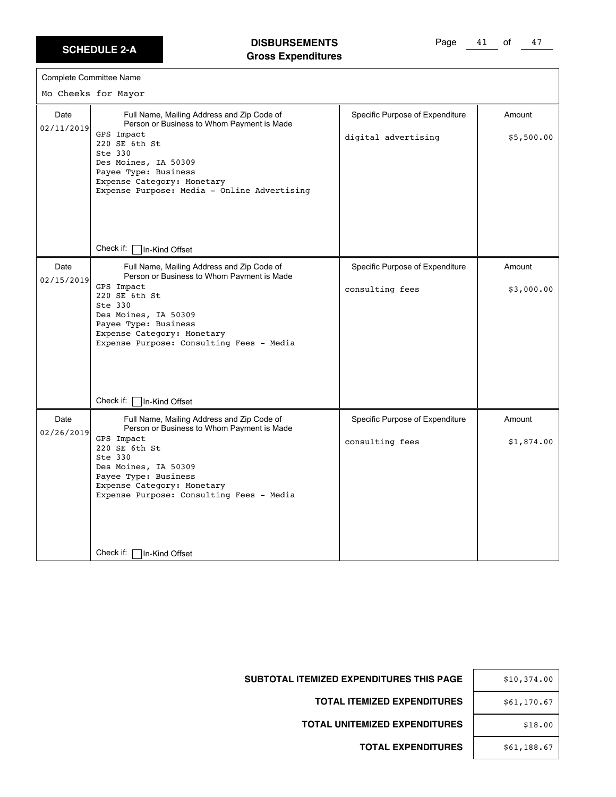# **DISBURSEMENTS Gross Expenditures**

Page 41 of 47

|                    | Complete Committee Name                                                                                                                                                                                                                                         |                                                        |                      |
|--------------------|-----------------------------------------------------------------------------------------------------------------------------------------------------------------------------------------------------------------------------------------------------------------|--------------------------------------------------------|----------------------|
|                    | Mo Cheeks for Mayor                                                                                                                                                                                                                                             |                                                        |                      |
| Date<br>02/11/2019 | Full Name, Mailing Address and Zip Code of<br>Person or Business to Whom Payment is Made<br>GPS Impact<br>220 SE 6th St<br>Ste 330<br>Des Moines, IA 50309<br>Payee Type: Business<br>Expense Category: Monetary<br>Expense Purpose: Media - Online Advertising | Specific Purpose of Expenditure<br>digital advertising | Amount<br>\$5,500.00 |
|                    | Check if: $\lceil$<br>In-Kind Offset                                                                                                                                                                                                                            |                                                        |                      |
| Date<br>02/15/2019 | Full Name, Mailing Address and Zip Code of<br>Person or Business to Whom Payment is Made<br>GPS Impact<br>220 SE 6th St<br>Ste 330<br>Des Moines, IA 50309<br>Payee Type: Business<br>Expense Category: Monetary<br>Expense Purpose: Consulting Fees - Media    | Specific Purpose of Expenditure<br>consulting fees     | Amount<br>\$3,000.00 |
|                    | Check if:<br>In-Kind Offset                                                                                                                                                                                                                                     |                                                        |                      |
| Date<br>02/26/2019 | Full Name, Mailing Address and Zip Code of<br>Person or Business to Whom Payment is Made<br>GPS Impact<br>220 SE 6th St<br>Ste 330<br>Des Moines, IA 50309<br>Payee Type: Business<br>Expense Category: Monetary<br>Expense Purpose: Consulting Fees - Media    | Specific Purpose of Expenditure<br>consulting fees     | Amount<br>\$1,874.00 |
|                    | Check if:<br>In-Kind Offset                                                                                                                                                                                                                                     |                                                        |                      |

| \$10,374.00 |
|-------------|
| \$61,170.67 |
| \$18.00     |
| \$61,188.67 |

SUBTOTAL ITEMIZED EXPENDITURES THIS PAGE

**TOTAL ITEMIZED EXPENDITURES** 

**TOTAL UNITEMIZED EXPENDITURES**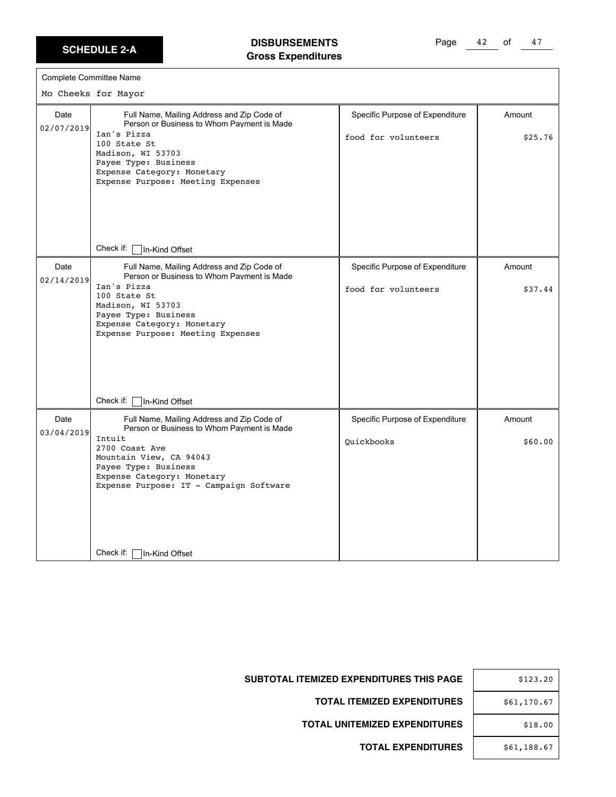#### **DISBURSEMENTS Gross Expenditures**

Page 42 of 47

|                    | Complete Committee Name                                                                                                                                                                                                                                                                                 |                                                        |                   |
|--------------------|---------------------------------------------------------------------------------------------------------------------------------------------------------------------------------------------------------------------------------------------------------------------------------------------------------|--------------------------------------------------------|-------------------|
|                    | Mo Cheeks for Mayor                                                                                                                                                                                                                                                                                     |                                                        |                   |
| Date<br>02/07/2019 | Full Name, Mailing Address and Zip Code of<br>Person or Business to Whom Payment is Made<br>Ian's Pizza<br>100 State St<br>Madison, WI 53703<br>Payee Type: Business<br>Expense Category: Monetary<br>Expense Purpose: Meeting Expenses                                                                 | Specific Purpose of Expenditure<br>food for volunteers | Amount<br>\$25.76 |
| Date<br>02/14/2019 | Check if: [<br>In-Kind Offset<br>Full Name, Mailing Address and Zip Code of<br>Person or Business to Whom Payment is Made<br>Ian's Pizza<br>100 State St<br>Madison, WI 53703<br>Payee Type: Business<br>Expense Category: Monetary<br>Expense Purpose: Meeting Expenses<br>Check if:<br>In-Kind Offset | Specific Purpose of Expenditure<br>food for volunteers | Amount<br>\$37.44 |
| Date<br>03/04/2019 | Full Name, Mailing Address and Zip Code of<br>Person or Business to Whom Payment is Made<br>Intuit<br>2700 Coast Ave<br>Mountain View, CA 94043<br>Payee Type: Business<br>Expense Category: Monetary<br>Expense Purpose: IT - Campaign Software<br>Check if: [<br>In-Kind Offset                       | Specific Purpose of Expenditure<br>Ouickbooks          | Amount<br>\$60.00 |

| ЭE | \$123.20    |
|----|-------------|
| ES | \$61,170.67 |
| ES | \$18.00     |
| ES | \$61,188.67 |

**SUBTOTAL ITEMIZED EXPENDITURES THIS PAG** 

**TOTAL ITEMIZED EXPENDITURE** 

**TOTAL UNITEMIZED EXPENDITURE**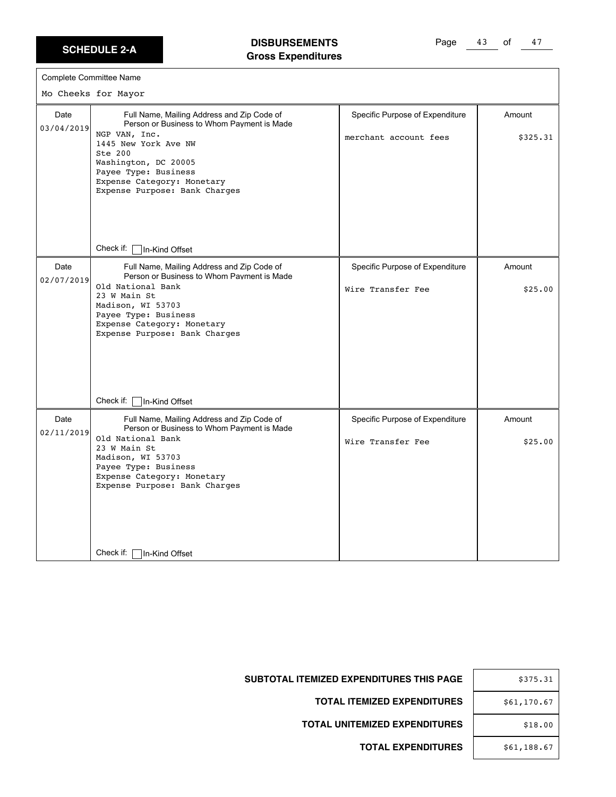#### **DISBURSEMENTS Gross Expenditures**

Page 43 of 47

|                    | Complete Committee Name<br>Mo Cheeks for Mayor                                                                                                                                                                                                                                                          |                                                          |                    |
|--------------------|---------------------------------------------------------------------------------------------------------------------------------------------------------------------------------------------------------------------------------------------------------------------------------------------------------|----------------------------------------------------------|--------------------|
| Date<br>03/04/2019 | Full Name, Mailing Address and Zip Code of<br>Person or Business to Whom Payment is Made<br>NGP VAN, Inc.<br>1445 New York Ave NW<br>Ste 200<br>Washington, DC 20005<br>Payee Type: Business<br>Expense Category: Monetary<br>Expense Purpose: Bank Charges                                             | Specific Purpose of Expenditure<br>merchant account fees | Amount<br>\$325.31 |
|                    | Check if:<br>In-Kind Offset                                                                                                                                                                                                                                                                             |                                                          |                    |
| Date<br>02/07/2019 | Full Name, Mailing Address and Zip Code of<br>Person or Business to Whom Payment is Made<br>Old National Bank<br>23 W Main St<br>Madison, WI 53703<br>Payee Type: Business<br>Expense Category: Monetary<br>Expense Purpose: Bank Charges                                                               | Specific Purpose of Expenditure<br>Wire Transfer Fee     | Amount<br>\$25.00  |
| Date<br>02/11/2019 | Check if:<br>In-Kind Offset<br>Full Name, Mailing Address and Zip Code of<br>Person or Business to Whom Payment is Made<br>Old National Bank<br>23 W Main St<br>Madison, WI 53703<br>Payee Type: Business<br>Expense Category: Monetary<br>Expense Purpose: Bank Charges<br>Check if:<br>In-Kind Offset | Specific Purpose of Expenditure<br>Wire Transfer Fee     | Amount<br>\$25.00  |

| E | \$375.31    |
|---|-------------|
| S | \$61,170.67 |
|   | \$18.00     |
|   | \$61,188.67 |

**SUBTOTAL ITEMIZED EXPENDITURES THIS PAGE** 

**TOTAL ITEMIZED EXPENDITURES** 

**TOTAL UNITEMIZED EXPENDITURES**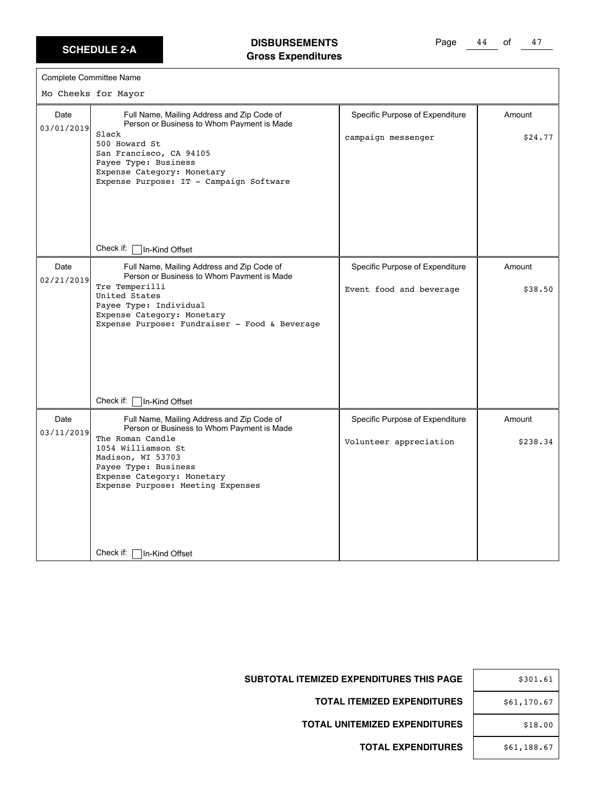$\Gamma$ 

# **DISBURSEMENTS Gross Expenditures**

Page 44 of 47

|                    | <b>Complete Committee Name</b>                                                                                                                                                                                                                                                    |                                                            |                    |
|--------------------|-----------------------------------------------------------------------------------------------------------------------------------------------------------------------------------------------------------------------------------------------------------------------------------|------------------------------------------------------------|--------------------|
|                    | Mo Cheeks for Mayor                                                                                                                                                                                                                                                               |                                                            |                    |
| Date<br>03/01/2019 | Full Name, Mailing Address and Zip Code of<br>Person or Business to Whom Payment is Made<br>Slack<br>500 Howard St<br>San Francisco, CA 94105<br>Payee Type: Business<br>Expense Category: Monetary<br>Expense Purpose: IT - Campaign Software                                    | Specific Purpose of Expenditure<br>campaign messenger      | Amount<br>\$24.77  |
|                    | Check if:<br>In-Kind Offset                                                                                                                                                                                                                                                       |                                                            |                    |
| Date<br>02/21/2019 | Full Name, Mailing Address and Zip Code of<br>Person or Business to Whom Payment is Made<br>Tre Temperilli<br>United States<br>Payee Type: Individual<br>Expense Category: Monetary<br>Expense Purpose: Fundraiser - Food & Beverage                                              | Specific Purpose of Expenditure<br>Event food and beverage | Amount<br>\$38.50  |
| Date<br>03/11/2019 | Check if:<br>In-Kind Offset<br>Full Name, Mailing Address and Zip Code of<br>Person or Business to Whom Payment is Made<br>The Roman Candle<br>1054 Williamson St<br>Madison, WI 53703<br>Payee Type: Business<br>Expense Category: Monetary<br>Expense Purpose: Meeting Expenses | Specific Purpose of Expenditure<br>Volunteer appreciation  | Amount<br>\$238.34 |
|                    | Check if:<br>In-Kind Offset                                                                                                                                                                                                                                                       |                                                            |                    |

| \$301.61    |
|-------------|
| \$61,170.67 |
| \$18.00     |
| \$61,188.67 |

**SUBTOTAL ITEMIZED EXPENDITURES THIS PAGE** 

**TOTAL ITEMIZED EXPENDITURES** 

**TOTAL UNITEMIZED EXPENDITURES**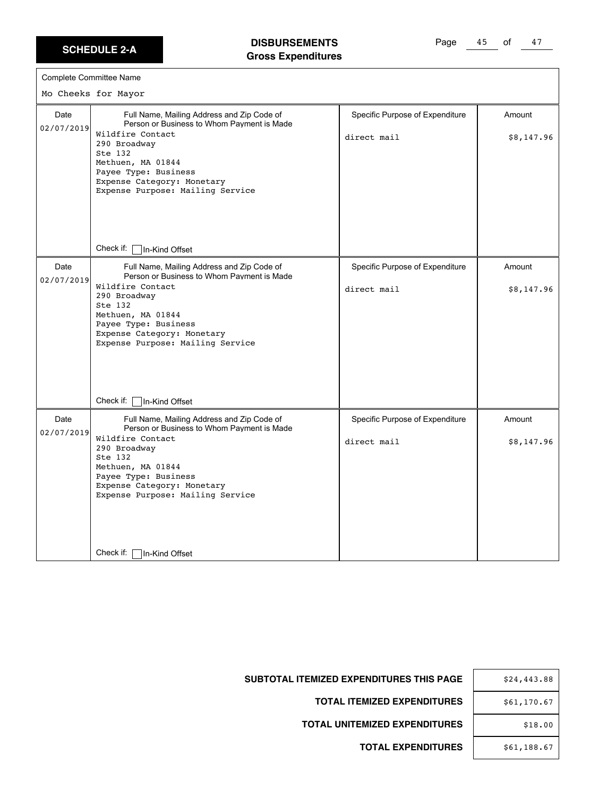$\Gamma$ 

#### **DISBURSEMENTS Gross Expenditures**

Page 45 of 47

|                    | Complete Committee Name                                                                                                                                                                                                                                |                                                |                      |
|--------------------|--------------------------------------------------------------------------------------------------------------------------------------------------------------------------------------------------------------------------------------------------------|------------------------------------------------|----------------------|
|                    | Mo Cheeks for Mayor                                                                                                                                                                                                                                    |                                                |                      |
| Date<br>02/07/2019 | Full Name, Mailing Address and Zip Code of<br>Person or Business to Whom Payment is Made                                                                                                                                                               | Specific Purpose of Expenditure                | Amount               |
|                    | Wildfire Contact<br>290 Broadway<br>Ste 132<br>Methuen, MA 01844<br>Payee Type: Business<br>Expense Category: Monetary<br>Expense Purpose: Mailing Service                                                                                             | direct mail                                    | \$8,147.96           |
|                    | Check if:<br>In-Kind Offset                                                                                                                                                                                                                            |                                                |                      |
| Date<br>02/07/2019 | Full Name, Mailing Address and Zip Code of<br>Person or Business to Whom Payment is Made                                                                                                                                                               | Specific Purpose of Expenditure                | Amount               |
|                    | Wildfire Contact<br>290 Broadway<br>Ste 132<br>Methuen, MA 01844<br>Payee Type: Business<br>Expense Category: Monetary<br>Expense Purpose: Mailing Service                                                                                             | direct mail                                    | \$8,147.96           |
|                    | Check if:<br>In-Kind Offset                                                                                                                                                                                                                            |                                                |                      |
| Date<br>02/07/2019 | Full Name, Mailing Address and Zip Code of<br>Person or Business to Whom Payment is Made<br>Wildfire Contact<br>290 Broadway<br>Ste 132<br>Methuen, MA 01844<br>Payee Type: Business<br>Expense Category: Monetary<br>Expense Purpose: Mailing Service | Specific Purpose of Expenditure<br>direct mail | Amount<br>\$8,147.96 |
|                    | Check if:<br>In-Kind Offset                                                                                                                                                                                                                            |                                                |                      |

| \$24,443.88 |
|-------------|
| \$61,170.67 |
| \$18.00     |
| \$61,188.67 |

SUBTOTAL ITEMIZED EXPENDITURES THIS PAGE

**TOTAL ITEMIZED EXPENDITURES** 

**TOTAL UNITEMIZED EXPENDITURES**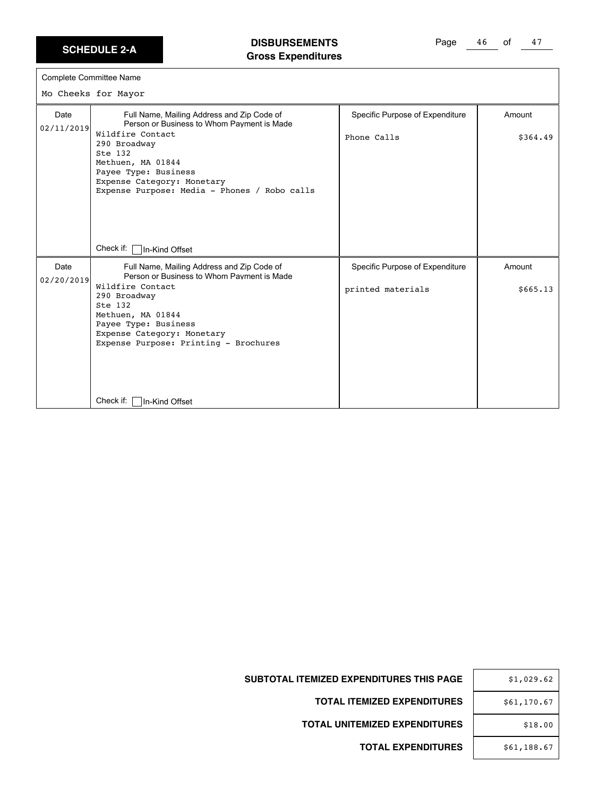# **DISBURSEMENTS Gross Expenditures**

Page 46 of 47

| Complete Committee Name |                                                                                                                                                                                                                                                                    |                                                      |                    |
|-------------------------|--------------------------------------------------------------------------------------------------------------------------------------------------------------------------------------------------------------------------------------------------------------------|------------------------------------------------------|--------------------|
|                         | Mo Cheeks for Mayor                                                                                                                                                                                                                                                |                                                      |                    |
| Date<br>02/11/2019      | Full Name, Mailing Address and Zip Code of<br>Person or Business to Whom Payment is Made<br>Wildfire Contact<br>290 Broadway<br>Ste 132<br>Methuen, MA 01844<br>Payee Type: Business<br>Expense Category: Monetary<br>Expense Purpose: Media - Phones / Robo calls | Specific Purpose of Expenditure<br>Phone Calls       | Amount<br>\$364.49 |
|                         | Check if:<br>In-Kind Offset                                                                                                                                                                                                                                        |                                                      |                    |
| Date<br>02/20/2019      | Full Name, Mailing Address and Zip Code of<br>Person or Business to Whom Payment is Made<br>Wildfire Contact                                                                                                                                                       | Specific Purpose of Expenditure<br>printed materials | Amount<br>\$665.13 |
|                         | 290 Broadway<br>Ste 132<br>Methuen, MA 01844<br>Payee Type: Business<br>Expense Category: Monetary<br>Expense Purpose: Printing - Brochures                                                                                                                        |                                                      |                    |
|                         | Check if:<br>In-Kind Offset                                                                                                                                                                                                                                        |                                                      |                    |

| \$1,029.62  |  |
|-------------|--|
| \$61,170.67 |  |
| \$18.00     |  |
| \$61,188.67 |  |

**SUBTOTAL ITEMIZED EXPENDITURES THIS PAGE** 

**TOTAL ITEMIZED EXPENDITURES** 

**TOTAL UNITEMIZED EXPENDITURES**